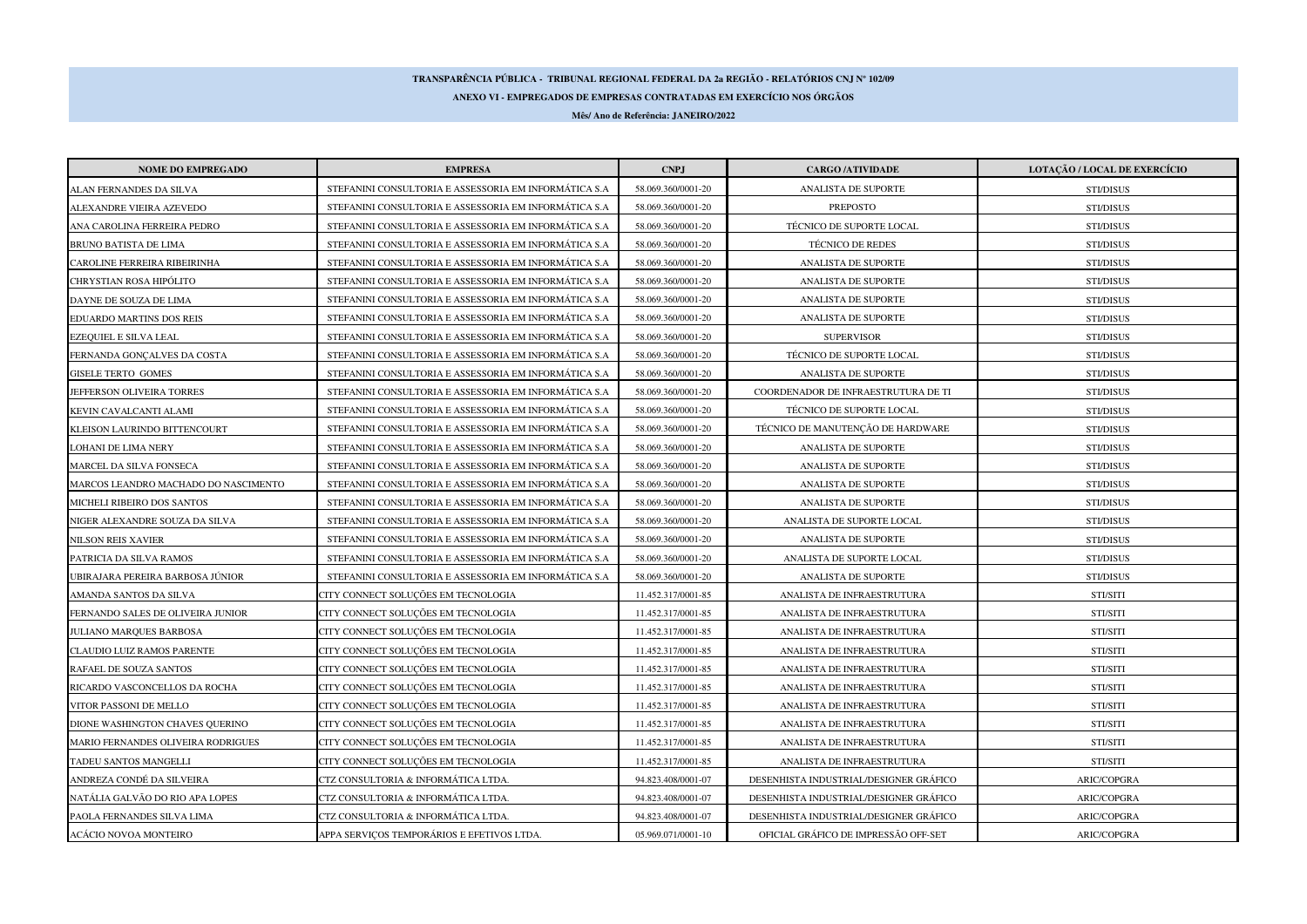## **TRANSPARÊNCIA PÚBLICA - TRIBUNAL REGIONAL FEDERAL DA 2a REGIÃO - RELATÓRIOS CNJ Nº 102/09**

**ANEXO VI - EMPREGADOS DE EMPRESAS CONTRATADAS EM EXERCÍCIO NOS ÓRGÃOS**

**Mês/ Ano de Referência: JANEIRO/2022**

| <b>NOME DO EMPREGADO</b>             | <b>EMPRESA</b>                                         | <b>CNPJ</b>        | <b>CARGO /ATIVIDADE</b>                | LOTAÇÃO / LOCAL DE EXERCÍCIO |
|--------------------------------------|--------------------------------------------------------|--------------------|----------------------------------------|------------------------------|
| ALAN FERNANDES DA SILVA              | STEFANINI CONSULTORIA E ASSESSORIA EM INFORMÁTICA S.A  | 58.069.360/0001-20 | ANALISTA DE SUPORTE                    | STI/DISUS                    |
| ALEXANDRE VIEIRA AZEVEDO             | STEFANINI CONSULTORIA E ASSESSORIA EM INFORMÁTICA S.A  | 58.069.360/0001-20 | PREPOSTO                               | STI/DISUS                    |
| ANA CAROLINA FERREIRA PEDRO          | STEFANINI CONSULTORIA E ASSESSORIA EM INFORMÁTICA S.A  | 58.069.360/0001-20 | TÉCNICO DE SUPORTE LOCAL               | STI/DISUS                    |
| BRUNO BATISTA DE LIMA                | STEFANINI CONSULTORIA E ASSESSORIA EM INFORMÁTICA S.A  | 58.069.360/0001-20 | <b>TÉCNICO DE REDES</b>                | STI/DISUS                    |
| CAROLINE FERREIRA RIBEIRINHA         | STEFANINI CONSULTORIA E ASSESSORIA EM INFORMÁTICA S.A  | 58.069.360/0001-20 | ANALISTA DE SUPORTE                    | STI/DISUS                    |
| CHRYSTIAN ROSA HIPÓLITO              | STEFANINI CONSULTORIA E ASSESSORIA EM INFORMÁTICA S.A  | 58.069.360/0001-20 | ANALISTA DE SUPORTE                    | STI/DISUS                    |
| DAYNE DE SOUZA DE LIMA               | STEFANINI CONSULTORIA E ASSESSORIA EM INFORMÁTICA S.A. | 58.069.360/0001-20 | ANALISTA DE SUPORTE                    | STI/DISUS                    |
| EDUARDO MARTINS DOS REIS             | STEFANINI CONSULTORIA E ASSESSORIA EM INFORMÁTICA S.A  | 58.069.360/0001-20 | ANALISTA DE SUPORTE                    | STI/DISUS                    |
| EZEQUIEL E SILVA LEAL                | STEFANINI CONSULTORIA E ASSESSORIA EM INFORMÁTICA S.A. | 58.069.360/0001-20 | <b>SUPERVISOR</b>                      | STI/DISUS                    |
| FERNANDA GONÇALVES DA COSTA          | STEFANINI CONSULTORIA E ASSESSORIA EM INFORMÁTICA S.A. | 58.069.360/0001-20 | TÉCNICO DE SUPORTE LOCAL               | STI/DISUS                    |
| <b>GISELE TERTO GOMES</b>            | STEFANINI CONSULTORIA E ASSESSORIA EM INFORMÁTICA S.A  | 58.069.360/0001-20 | ANALISTA DE SUPORTE                    | STI/DISUS                    |
| JEFFERSON OLIVEIRA TORRES            | STEFANINI CONSULTORIA E ASSESSORIA EM INFORMÁTICA S.A  | 58.069.360/0001-20 | COORDENADOR DE INFRAESTRUTURA DE TI    | STI/DISUS                    |
| KEVIN CAVALCANTI ALAMI               | STEFANINI CONSULTORIA E ASSESSORIA EM INFORMÁTICA S.A. | 58.069.360/0001-20 | TÉCNICO DE SUPORTE LOCAL               | STI/DISUS                    |
| KLEISON LAURINDO BITTENCOURT         | STEFANINI CONSULTORIA E ASSESSORIA EM INFORMÁTICA S.A  | 58.069.360/0001-20 | TÉCNICO DE MANUTENÇÃO DE HARDWARE      | STI/DISUS                    |
| LOHANI DE LIMA NERY                  | STEFANINI CONSULTORIA E ASSESSORIA EM INFORMÁTICA S.A. | 58.069.360/0001-20 | ANALISTA DE SUPORTE                    | STI/DISUS                    |
| MARCEL DA SILVA FONSECA              | STEFANINI CONSULTORIA E ASSESSORIA EM INFORMÁTICA S.A. | 58.069.360/0001-20 | ANALISTA DE SUPORTE                    | STI/DISUS                    |
| MARCOS LEANDRO MACHADO DO NASCIMENTO | STEFANINI CONSULTORIA E ASSESSORIA EM INFORMÁTICA S.A  | 58.069.360/0001-20 | ANALISTA DE SUPORTE                    | STI/DISUS                    |
| MICHELI RIBEIRO DOS SANTOS           | STEFANINI CONSULTORIA E ASSESSORIA EM INFORMÁTICA S.A. | 58.069.360/0001-20 | ANALISTA DE SUPORTE                    | <b>STI/DISUS</b>             |
| NIGER ALEXANDRE SOUZA DA SILVA       | STEFANINI CONSULTORIA E ASSESSORIA EM INFORMÁTICA S.A  | 58.069.360/0001-20 | ANALISTA DE SUPORTE LOCAL              | STI/DISUS                    |
| NILSON REIS XAVIER                   | STEFANINI CONSULTORIA E ASSESSORIA EM INFORMÁTICA S.A  | 58.069.360/0001-20 | ANALISTA DE SUPORTE                    | STI/DISUS                    |
| PATRICIA DA SILVA RAMOS              | STEFANINI CONSULTORIA E ASSESSORIA EM INFORMÁTICA S.A  | 58.069.360/0001-20 | ANALISTA DE SUPORTE LOCAL              | STI/DISUS                    |
| JBIRAJARA PEREIRA BARBOSA JÚNIOR     | STEFANINI CONSULTORIA E ASSESSORIA EM INFORMÁTICA S.A  | 58.069.360/0001-20 | ANALISTA DE SUPORTE                    | STI/DISUS                    |
| AMANDA SANTOS DA SILVA               | CITY CONNECT SOLUÇÕES EM TECNOLOGIA                    | 11.452.317/0001-85 | ANALISTA DE INFRAESTRUTURA             | STI/SITI                     |
| FERNANDO SALES DE OLIVEIRA JUNIOR    | CITY CONNECT SOLUÇÕES EM TECNOLOGIA                    | 11.452.317/0001-85 | ANALISTA DE INFRAESTRUTURA             | STI/SITI                     |
| JULIANO MARQUES BARBOSA              | CITY CONNECT SOLUÇÕES EM TECNOLOGIA                    | 11.452.317/0001-85 | ANALISTA DE INFRAESTRUTURA             | STI/SITI                     |
| CLAUDIO LUIZ RAMOS PARENTE           | CITY CONNECT SOLUÇÕES EM TECNOLOGIA                    | 11.452.317/0001-85 | ANALISTA DE INFRAESTRUTURA             | STI/SITI                     |
| RAFAEL DE SOUZA SANTOS               | CITY CONNECT SOLUÇÕES EM TECNOLOGIA                    | 11.452.317/0001-85 | ANALISTA DE INFRAESTRUTURA             | STI/SITI                     |
| RICARDO VASCONCELLOS DA ROCHA        | CITY CONNECT SOLUÇÕES EM TECNOLOGIA                    | 11.452.317/0001-85 | ANALISTA DE INFRAESTRUTURA             | STI/SITI                     |
| VITOR PASSONI DE MELLO               | CITY CONNECT SOLUÇÕES EM TECNOLOGIA                    | 11.452.317/0001-85 | ANALISTA DE INFRAESTRUTURA             | STI/SITI                     |
| DIONE WASHINGTON CHAVES QUERINO      | CITY CONNECT SOLUÇÕES EM TECNOLOGIA                    | 11.452.317/0001-85 | ANALISTA DE INFRAESTRUTURA             | STI/SITI                     |
| MARIO FERNANDES OLIVEIRA RODRIGUES   | CITY CONNECT SOLUÇÕES EM TECNOLOGIA                    | 11.452.317/0001-85 | ANALISTA DE INFRAESTRUTURA             | STI/SITI                     |
| TADEU SANTOS MANGELLI                | CITY CONNECT SOLUÇÕES EM TECNOLOGIA                    | 11.452.317/0001-85 | ANALISTA DE INFRAESTRUTURA             | STI/SITI                     |
| ANDREZA CONDÉ DA SILVEIRA            | CTZ CONSULTORIA & INFORMÁTICA LTDA.                    | 94.823.408/0001-07 | DESENHISTA INDUSTRIAL/DESIGNER GRÁFICO | ARIC/COPGRA                  |
| NATÁLIA GALVÃO DO RIO APA LOPES      | CTZ CONSULTORIA & INFORMÁTICA LTDA.                    | 94.823.408/0001-07 | DESENHISTA INDUSTRIAL/DESIGNER GRÁFICO | ARIC/COPGRA                  |
| PAOLA FERNANDES SILVA LIMA           | CTZ CONSULTORIA & INFORMÁTICA LTDA.                    | 94.823.408/0001-07 | DESENHISTA INDUSTRIAL/DESIGNER GRÁFICO | ARIC/COPGRA                  |
| ACÁCIO NOVOA MONTEIRO                | APPA SERVIÇOS TEMPORÁRIOS E EFETIVOS LTDA.             | 05.969.071/0001-10 | OFICIAL GRÁFICO DE IMPRESSÃO OFF-SET   | ARIC/COPGRA                  |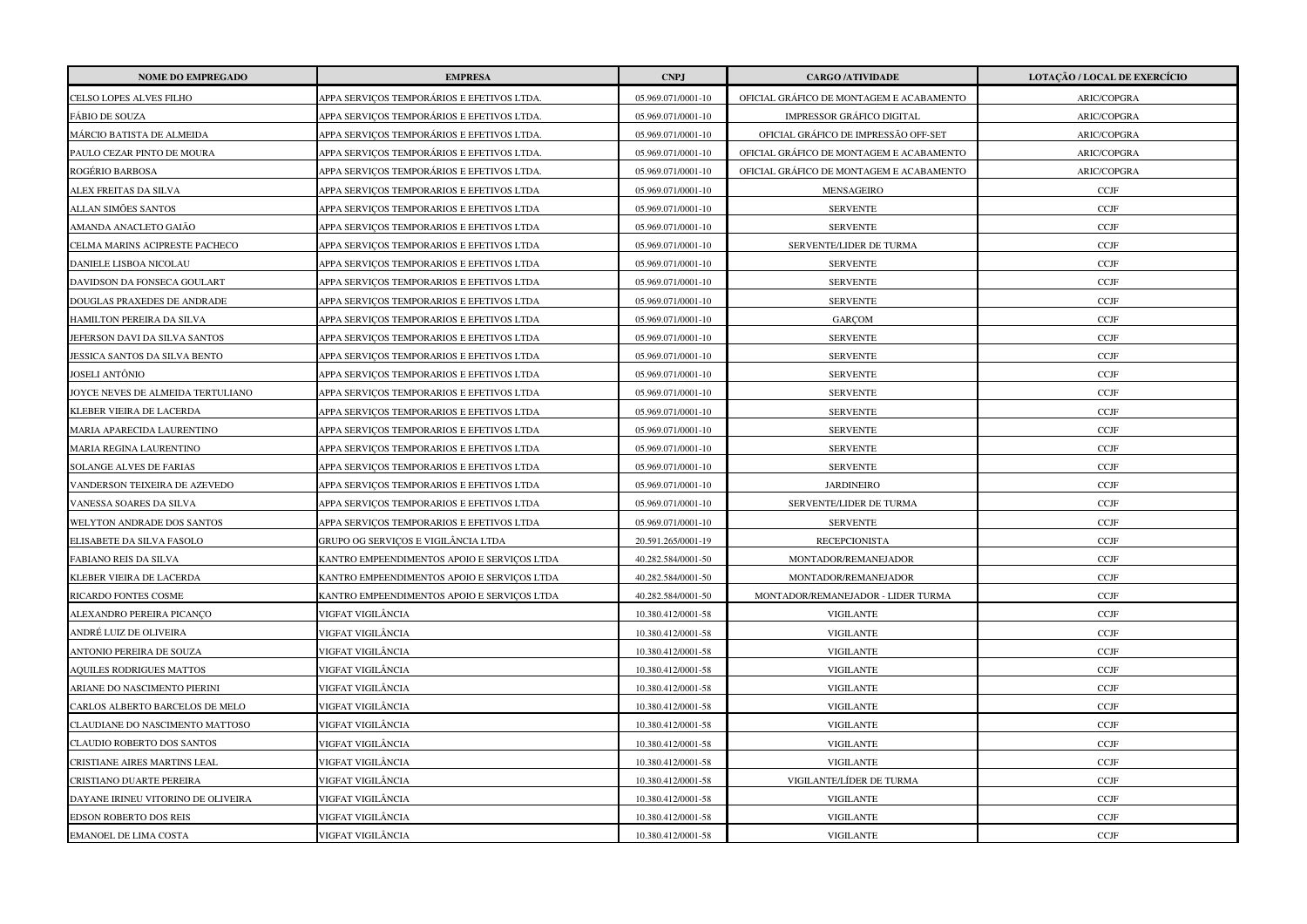| <b>NOME DO EMPREGADO</b>           | <b>EMPRESA</b>                              | <b>CNPJ</b>        | <b>CARGO /ATIVIDADE</b>                  | LOTAÇÃO / LOCAL DE EXERCÍCIO |
|------------------------------------|---------------------------------------------|--------------------|------------------------------------------|------------------------------|
| CELSO LOPES ALVES FILHO            | APPA SERVIÇOS TEMPORÁRIOS E EFETIVOS LTDA.  | 05.969.071/0001-10 | OFICIAL GRÁFICO DE MONTAGEM E ACABAMENTO | ARIC/COPGRA                  |
| FÁBIO DE SOUZA                     | APPA SERVICOS TEMPORÁRIOS E EFETIVOS LTDA.  | 05.969.071/0001-10 | <b>IMPRESSOR GRÁFICO DIGITAL</b>         | ARIC/COPGRA                  |
| MÁRCIO BATISTA DE ALMEIDA          | APPA SERVICOS TEMPORÁRIOS E EFETIVOS LTDA.  | 05.969.071/0001-10 | OFICIAL GRÁFICO DE IMPRESSÃO OFF-SET     | ARIC/COPGRA                  |
| PAULO CEZAR PINTO DE MOURA         | APPA SERVIÇOS TEMPORÁRIOS E EFETIVOS LTDA.  | 05.969.071/0001-10 | OFICIAL GRÁFICO DE MONTAGEM E ACABAMENTO | ARIC/COPGRA                  |
| ROGÉRIO BARBOSA                    | APPA SERVIÇOS TEMPORÁRIOS E EFETIVOS LTDA.  | 05.969.071/0001-10 | OFICIAL GRÁFICO DE MONTAGEM E ACABAMENTO | ARIC/COPGRA                  |
| ALEX FREITAS DA SILVA              | APPA SERVICOS TEMPORARIOS E EFETIVOS LTDA   | 05.969.071/0001-10 | MENSAGEIRO                               | CCJF                         |
| ALLAN SIMÕES SANTOS                | APPA SERVIÇOS TEMPORARIOS E EFETIVOS LTDA   | 05.969.071/0001-10 | <b>SERVENTE</b>                          | $\ensuremath{\text{CCJF}}$   |
| AMANDA ANACLETO GAIÃO              | APPA SERVIÇOS TEMPORARIOS E EFETIVOS LTDA   | 05.969.071/0001-10 | <b>SERVENTE</b>                          | <b>CCJF</b>                  |
| CELMA MARINS ACIPRESTE PACHECO     | APPA SERVIÇOS TEMPORARIOS E EFETIVOS LTDA   | 05.969.071/0001-10 | SERVENTE/LIDER DE TURMA                  | <b>CCJF</b>                  |
| DANIELE LISBOA NICOLAU             | APPA SERVIÇOS TEMPORARIOS E EFETIVOS LTDA   | 05.969.071/0001-10 | <b>SERVENTE</b>                          | CCJF                         |
| DAVIDSON DA FONSECA GOULART        | APPA SERVICOS TEMPORARIOS E EFETIVOS LTDA   | 05.969.071/0001-10 | <b>SERVENTE</b>                          | <b>CCJF</b>                  |
| DOUGLAS PRAXEDES DE ANDRADE        | APPA SERVIÇOS TEMPORARIOS E EFETIVOS LTDA   | 05.969.071/0001-10 | <b>SERVENTE</b>                          | <b>CCJF</b>                  |
| HAMILTON PEREIRA DA SILVA          | APPA SERVIÇOS TEMPORARIOS E EFETIVOS LTDA   | 05.969.071/0001-10 | GARCOM                                   | <b>CCJF</b>                  |
| JEFERSON DAVI DA SILVA SANTOS      | APPA SERVIÇOS TEMPORARIOS E EFETIVOS LTDA   | 05.969.071/0001-10 | <b>SERVENTE</b>                          | <b>CCJF</b>                  |
| JESSICA SANTOS DA SILVA BENTO      | APPA SERVIÇOS TEMPORARIOS E EFETIVOS LTDA   | 05.969.071/0001-10 | <b>SERVENTE</b>                          | $\ensuremath{\text{CCJF}}$   |
| JOSELI ANTÔNIO                     | APPA SERVIÇOS TEMPORARIOS E EFETIVOS LTDA   | 05.969.071/0001-10 | <b>SERVENTE</b>                          | <b>CCJF</b>                  |
| JOYCE NEVES DE ALMEIDA TERTULIANO  | APPA SERVIÇOS TEMPORARIOS E EFETIVOS LTDA   | 05.969.071/0001-10 | <b>SERVENTE</b>                          | $\ensuremath{\text{CCJF}}$   |
| KLEBER VIEIRA DE LACERDA           | APPA SERVIÇOS TEMPORARIOS E EFETIVOS LTDA   | 05.969.071/0001-10 | <b>SERVENTE</b>                          | $\ensuremath{\text{CCJF}}$   |
| MARIA APARECIDA LAURENTINO         | APPA SERVIÇOS TEMPORARIOS E EFETIVOS LTDA   | 05.969.071/0001-10 | <b>SERVENTE</b>                          | <b>CCJF</b>                  |
| MARIA REGINA LAURENTINO            | APPA SERVIÇOS TEMPORARIOS E EFETIVOS LTDA   | 05.969.071/0001-10 | <b>SERVENTE</b>                          | $\ensuremath{\text{CCJF}}$   |
| <b>SOLANGE ALVES DE FARIAS</b>     | APPA SERVIÇOS TEMPORARIOS E EFETIVOS LTDA   | 05.969.071/0001-10 | <b>SERVENTE</b>                          | <b>CCJF</b>                  |
| VANDERSON TEIXEIRA DE AZEVEDO      | APPA SERVICOS TEMPORARIOS E EFETIVOS LTDA   | 05.969.071/0001-10 | <b>JARDINEIRO</b>                        | CCJF                         |
| VANESSA SOARES DA SILVA            | APPA SERVIÇOS TEMPORARIOS E EFETIVOS LTDA   | 05.969.071/0001-10 | SERVENTE/LIDER DE TURMA                  | CCJF                         |
| WELYTON ANDRADE DOS SANTOS         | APPA SERVIÇOS TEMPORARIOS E EFETIVOS LTDA   | 05.969.071/0001-10 | <b>SERVENTE</b>                          | <b>CCJF</b>                  |
| ELISABETE DA SILVA FASOLO          | GRUPO OG SERVIÇOS E VIGILÂNCIA LTDA         | 20.591.265/0001-19 | <b>RECEPCIONISTA</b>                     | CCJF                         |
| FABIANO REIS DA SILVA              | KANTRO EMPEENDIMENTOS APOIO E SERVIÇOS LTDA | 40.282.584/0001-50 | MONTADOR/REMANEJADOR                     | <b>CCJF</b>                  |
| KLEBER VIEIRA DE LACERDA           | KANTRO EMPEENDIMENTOS APOIO E SERVIÇOS LTDA | 40.282.584/0001-50 | MONTADOR/REMANEJADOR                     | CCJF                         |
| RICARDO FONTES COSME               | KANTRO EMPEENDIMENTOS APOIO E SERVIÇOS LTDA | 40.282.584/0001-50 | MONTADOR/REMANEJADOR - LIDER TURMA       | $\ensuremath{\text{CCJF}}$   |
| ALEXANDRO PEREIRA PICANÇO          | VIGFAT VIGILÂNCIA                           | 10.380.412/0001-58 | <b>VIGILANTE</b>                         | <b>CCJF</b>                  |
| ANDRÉ LUIZ DE OLIVEIRA             | VIGFAT VIGILÂNCIA                           | 10.380.412/0001-58 | <b>VIGILANTE</b>                         | <b>CCJF</b>                  |
| ANTONIO PEREIRA DE SOUZA           | VIGFAT VIGILÂNCIA                           | 10.380.412/0001-58 | <b>VIGILANTE</b>                         | $\ensuremath{\text{CCJF}}$   |
| <b>AQUILES RODRIGUES MATTOS</b>    | VIGFAT VIGILÂNCIA                           | 10.380.412/0001-58 | <b>VIGILANTE</b>                         | <b>CCJF</b>                  |
| ARIANE DO NASCIMENTO PIERINI       | VIGFAT VIGILÂNCIA                           | 10.380.412/0001-58 | <b>VIGILANTE</b>                         | <b>CCJF</b>                  |
| CARLOS ALBERTO BARCELOS DE MELO    | VIGFAT VIGILÂNCIA                           | 10.380.412/0001-58 | <b>VIGILANTE</b>                         | <b>CCJF</b>                  |
| CLAUDIANE DO NASCIMENTO MATTOSO    | VIGFAT VIGILÂNCIA                           | 10.380.412/0001-58 | <b>VIGILANTE</b>                         | CCJF                         |
| CLAUDIO ROBERTO DOS SANTOS         | VIGFAT VIGILÂNCIA                           | 10.380.412/0001-58 | <b>VIGILANTE</b>                         | CCJF                         |
| CRISTIANE AIRES MARTINS LEAL       | VIGFAT VIGILÂNCIA                           | 10.380.412/0001-58 | <b>VIGILANTE</b>                         | <b>CCJF</b>                  |
| CRISTIANO DUARTE PEREIRA           | VIGFAT VIGILÂNCIA                           | 10.380.412/0001-58 | VIGILANTE/LÍDER DE TURMA                 | <b>CCJF</b>                  |
| DAYANE IRINEU VITORINO DE OLIVEIRA | VIGFAT VIGILÂNCIA                           | 10.380.412/0001-58 | <b>VIGILANTE</b>                         | <b>CCJF</b>                  |
| EDSON ROBERTO DOS REIS             | /IGFAT VIGILÂNCIA                           | 10.380.412/0001-58 | <b>VIGILANTE</b>                         | CCJF                         |
| <b>EMANOEL DE LIMA COSTA</b>       | VIGFAT VIGILÂNCIA                           | 10.380.412/0001-58 | <b>VIGILANTE</b>                         | $\ensuremath{\text{CCJF}}$   |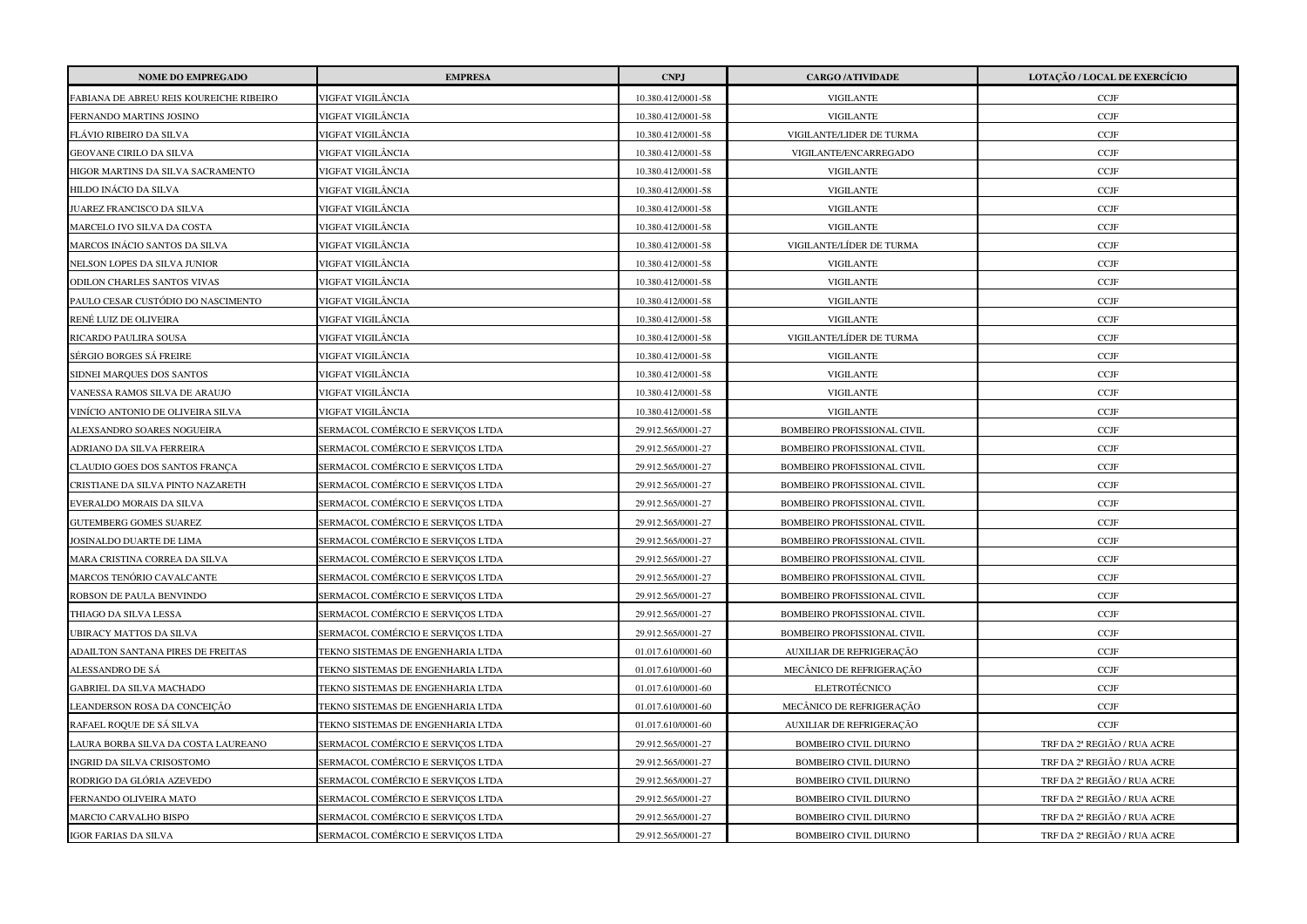| <b>NOME DO EMPREGADO</b>                | <b>EMPRESA</b>                    | <b>CNPJ</b>        | <b>CARGO /ATIVIDADE</b>            | LOTAÇÃO / LOCAL DE EXERCÍCIO |
|-----------------------------------------|-----------------------------------|--------------------|------------------------------------|------------------------------|
| FABIANA DE ABREU REIS KOUREICHE RIBEIRO | /IGFAT VIGILÂNCIA                 | 10.380.412/0001-58 | <b>VIGILANTE</b>                   | <b>CCJF</b>                  |
| FERNANDO MARTINS JOSINO                 | VIGFAT VIGILÂNCIA                 | 10.380.412/0001-58 | <b>VIGILANTE</b>                   | $\ensuremath{\text{CCJF}}$   |
| FLÁVIO RIBEIRO DA SILVA                 | VIGFAT VIGILÂNCIA                 | 10.380.412/0001-58 | VIGILANTE/LIDER DE TURMA           | $\ensuremath{\text{CCJF}}$   |
| GEOVANE CIRILO DA SILVA                 | VIGFAT VIGILÂNCIA                 | 10.380.412/0001-58 | VIGILANTE/ENCARREGADO              | CCJF                         |
| HIGOR MARTINS DA SILVA SACRAMENTO       | VIGFAT VIGILÂNCIA                 | 10.380.412/0001-58 | <b>VIGILANTE</b>                   | <b>CCJF</b>                  |
| HILDO INÁCIO DA SILVA                   | VIGFAT VIGILÂNCIA                 | 10.380.412/0001-58 | <b>VIGILANTE</b>                   | $\ensuremath{\text{CCJF}}$   |
| JUAREZ FRANCISCO DA SILVA               | VIGFAT VIGILÂNCIA                 | 10.380.412/0001-58 | <b>VIGILANTE</b>                   | CCJF                         |
| MARCELO IVO SILVA DA COSTA              | VIGFAT VIGILÂNCIA                 | 10.380.412/0001-58 | <b>VIGILANTE</b>                   | $\ensuremath{\text{CCJF}}$   |
| MARCOS INÁCIO SANTOS DA SILVA           | VIGFAT VIGILÂNCIA                 | 10.380.412/0001-58 | VIGILANTE/LÍDER DE TURMA           | $\ensuremath{\text{CCJF}}$   |
| NELSON LOPES DA SILVA JUNIOR            | VIGFAT VIGILÂNCIA                 | 10.380.412/0001-58 | <b>VIGILANTE</b>                   | $\ensuremath{\text{CCJF}}$   |
| ODILON CHARLES SANTOS VIVAS             | VIGFAT VIGILÂNCIA                 | 10.380.412/0001-58 | <b>VIGILANTE</b>                   | $\ensuremath{\text{CCJF}}$   |
| PAULO CESAR CUSTÓDIO DO NASCIMENTO      | VIGFAT VIGILÂNCIA                 | 10.380.412/0001-58 | <b>VIGILANTE</b>                   | $\ensuremath{\text{CCJF}}$   |
| RENÉ LUIZ DE OLIVEIRA                   | /IGFAT VIGILÂNCIA                 | 10.380.412/0001-58 | <b>VIGILANTE</b>                   | $\ensuremath{\text{CCJF}}$   |
| RICARDO PAULIRA SOUSA                   | VIGFAT VIGILÂNCIA                 | 10.380.412/0001-58 | VIGILANTE/LÍDER DE TURMA           | $\ensuremath{\text{CCJF}}$   |
| SÉRGIO BORGES SÁ FREIRE                 | VIGFAT VIGILÂNCIA                 | 10.380.412/0001-58 | <b>VIGILANTE</b>                   | $\ensuremath{\text{CCJF}}$   |
| SIDNEI MARQUES DOS SANTOS               | VIGFAT VIGILÂNCIA                 | 10.380.412/0001-58 | <b>VIGILANTE</b>                   | CCJF                         |
| VANESSA RAMOS SILVA DE ARAUJO           | VIGFAT VIGILÂNCIA                 | 10.380.412/0001-58 | <b>VIGILANTE</b>                   | $\ensuremath{\text{CCJF}}$   |
| VINÍCIO ANTONIO DE OLIVEIRA SILVA       | VIGFAT VIGILÂNCIA                 | 10.380.412/0001-58 | <b>VIGILANTE</b>                   | CCJF                         |
| ALEXSANDRO SOARES NOGUEIRA              | SERMACOL COMÉRCIO E SERVICOS LTDA | 29.912.565/0001-27 | <b>BOMBEIRO PROFISSIONAL CIVIL</b> | $\ensuremath{\text{CCJF}}$   |
| ADRIANO DA SILVA FERREIRA               | SERMACOL COMÉRCIO E SERVIÇOS LTDA | 29.912.565/0001-27 | BOMBEIRO PROFISSIONAL CIVIL        | $\ensuremath{\text{CCJF}}$   |
| CLAUDIO GOES DOS SANTOS FRANÇA          | SERMACOL COMÉRCIO E SERVIÇOS LTDA | 29.912.565/0001-27 | BOMBEIRO PROFISSIONAL CIVIL        | $\ensuremath{\text{CCJF}}$   |
| CRISTIANE DA SILVA PINTO NAZARETH       | SERMACOL COMÉRCIO E SERVIÇOS LTDA | 29.912.565/0001-27 | BOMBEIRO PROFISSIONAL CIVIL        | CCJF                         |
| EVERALDO MORAIS DA SILVA                | SERMACOL COMÉRCIO E SERVIÇOS LTDA | 29.912.565/0001-27 | BOMBEIRO PROFISSIONAL CIVIL        | $\ensuremath{\text{CCJF}}$   |
| <b>GUTEMBERG GOMES SUAREZ</b>           | SERMACOL COMÉRCIO E SERVIÇOS LTDA | 29.912.565/0001-27 | BOMBEIRO PROFISSIONAL CIVIL        | $\ensuremath{\text{CCJF}}$   |
| JOSINALDO DUARTE DE LIMA                | SERMACOL COMÉRCIO E SERVICOS LTDA | 29.912.565/0001-27 | <b>BOMBEIRO PROFISSIONAL CIVIL</b> | CCJF                         |
| MARA CRISTINA CORREA DA SILVA           | SERMACOL COMÉRCIO E SERVIÇOS LTDA | 29.912.565/0001-27 | BOMBEIRO PROFISSIONAL CIVIL        | $\ensuremath{\text{CCJF}}$   |
| MARCOS TENÓRIO CAVALCANTE               | SERMACOL COMÉRCIO E SERVIÇOS LTDA | 29.912.565/0001-27 | BOMBEIRO PROFISSIONAL CIVIL        | $\ensuremath{\text{CCJF}}$   |
| ROBSON DE PAULA BENVINDO                | SERMACOL COMÉRCIO E SERVICOS LTDA | 29.912.565/0001-27 | <b>BOMBEIRO PROFISSIONAL CIVIL</b> | $\ensuremath{\text{CCJF}}$   |
| THIAGO DA SILVA LESSA                   | SERMACOL COMÉRCIO E SERVICOS LTDA | 29.912.565/0001-27 | <b>BOMBEIRO PROFISSIONAL CIVIL</b> | CCJF                         |
| UBIRACY MATTOS DA SILVA                 | SERMACOL COMÉRCIO E SERVIÇOS LTDA | 29.912.565/0001-27 | BOMBEIRO PROFISSIONAL CIVIL        | $\ensuremath{\text{CCJF}}$   |
| ADAILTON SANTANA PIRES DE FREITAS       | TEKNO SISTEMAS DE ENGENHARIA LTDA | 01.017.610/0001-60 | AUXILIAR DE REFRIGERAÇÃO           | $\ensuremath{\text{CCJF}}$   |
| ALESSANDRO DE SÁ                        | TEKNO SISTEMAS DE ENGENHARIA LTDA | 01.017.610/0001-60 | MECÂNICO DE REFRIGERAÇÃO           | CCJF                         |
| GABRIEL DA SILVA MACHADO                | TEKNO SISTEMAS DE ENGENHARIA LTDA | 01.017.610/0001-60 | ELETROTÉCNICO                      | $\ensuremath{\text{CCJF}}$   |
| LEANDERSON ROSA DA CONCEIÇÃO            | TEKNO SISTEMAS DE ENGENHARIA LTDA | 01.017.610/0001-60 | MECÂNICO DE REFRIGERAÇÃO           | CCJF                         |
| RAFAEL ROQUE DE SÁ SILVA                | TEKNO SISTEMAS DE ENGENHARIA LTDA | 01.017.610/0001-60 | AUXILIAR DE REFRIGERAÇÃO           | $\ensuremath{\mathsf{CCJF}}$ |
| LAURA BORBA SILVA DA COSTA LAUREANO     | SERMACOL COMÉRCIO E SERVIÇOS LTDA | 29.912.565/0001-27 | <b>BOMBEIRO CIVIL DIURNO</b>       | TRF DA 2ª REGIÃO / RUA ACRE  |
| INGRID DA SILVA CRISOSTOMO              | SERMACOL COMÉRCIO E SERVIÇOS LTDA | 29.912.565/0001-27 | <b>BOMBEIRO CIVIL DIURNO</b>       | TRF DA 2ª REGIÃO / RUA ACRE  |
| RODRIGO DA GLÓRIA AZEVEDO               | SERMACOL COMÉRCIO E SERVIÇOS LTDA | 29.912.565/0001-27 | <b>BOMBEIRO CIVIL DIURNO</b>       | TRF DA 2ª REGIÃO / RUA ACRE  |
| FERNANDO OLIVEIRA MATO                  | SERMACOL COMÉRCIO E SERVIÇOS LTDA | 29.912.565/0001-27 | <b>BOMBEIRO CIVIL DIURNO</b>       | TRF DA 2ª REGIÃO / RUA ACRE  |
| MARCIO CARVALHO BISPO                   | SERMACOL COMÉRCIO E SERVIÇOS LTDA | 29.912.565/0001-27 | <b>BOMBEIRO CIVIL DIURNO</b>       | TRF DA 2ª REGIÃO / RUA ACRE  |
| <b>IGOR FARIAS DA SILVA</b>             | SERMACOL COMÉRCIO E SERVIÇOS LTDA | 29.912.565/0001-27 | BOMBEIRO CIVIL DIURNO              | TRF DA 2ª REGIÃO / RUA ACRE  |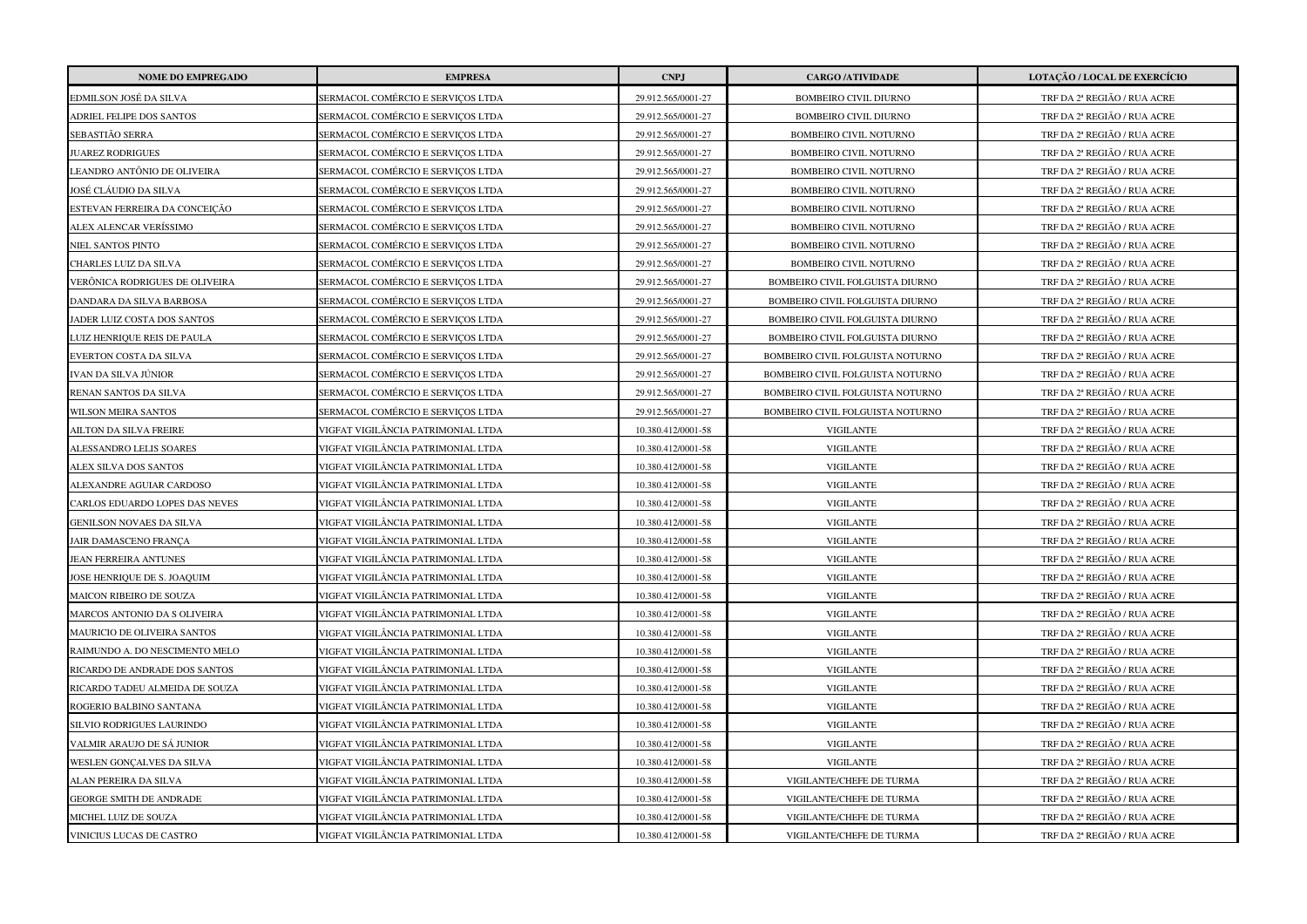| <b>NOME DO EMPREGADO</b>       | <b>EMPRESA</b>                     | <b>CNPJ</b>        | <b>CARGO /ATIVIDADE</b>          | LOTAÇÃO / LOCAL DE EXERCÍCIO |
|--------------------------------|------------------------------------|--------------------|----------------------------------|------------------------------|
| EDMILSON JOSÉ DA SILVA         | SERMACOL COMÉRCIO E SERVICOS LTDA  | 29.912.565/0001-27 | BOMBEIRO CIVIL DIURNO            | TRF DA 2ª REGIÃO / RUA ACRE  |
| ADRIEL FELIPE DOS SANTOS       | SERMACOL COMÉRCIO E SERVIÇOS LTDA  | 29.912.565/0001-27 | <b>BOMBEIRO CIVIL DIURNO</b>     | TRF DA 2ª REGIÃO / RUA ACRE  |
| SEBASTIÃO SERRA                | SERMACOL COMÉRCIO E SERVICOS LTDA  | 29.912.565/0001-27 | BOMBEIRO CIVIL NOTURNO           | TRF DA 2ª REGIÃO / RUA ACRE  |
| <b>JUAREZ RODRIGUES</b>        | SERMACOL COMÉRCIO E SERVICOS LTDA  | 29.912.565/0001-27 | <b>BOMBEIRO CIVIL NOTURNO</b>    | TRF DA 2ª REGIÃO / RUA ACRE  |
| LEANDRO ANTÔNIO DE OLIVEIRA    | SERMACOL COMÉRCIO E SERVIÇOS LTDA  | 29.912.565/0001-27 | BOMBEIRO CIVIL NOTURNO           | TRF DA 2ª REGIÃO / RUA ACRE  |
| JOSÉ CLÁUDIO DA SILVA          | SERMACOL COMÉRCIO E SERVIÇOS LTDA  | 29.912.565/0001-27 | BOMBEIRO CIVIL NOTURNO           | TRF DA 2ª REGIÃO / RUA ACRE  |
| ESTEVAN FERREIRA DA CONCEIÇÃO  | SERMACOL COMÉRCIO E SERVIÇOS LTDA  | 29.912.565/0001-27 | BOMBEIRO CIVIL NOTURNO           | TRF DA 2ª REGIÃO / RUA ACRE  |
| ALEX ALENCAR VERÍSSIMO         | SERMACOL COMÉRCIO E SERVICOS LTDA  | 29.912.565/0001-27 | <b>BOMBEIRO CIVIL NOTURNO</b>    | TRF DA 2ª REGIÃO / RUA ACRE  |
| NIEL SANTOS PINTO              | SERMACOL COMÉRCIO E SERVIÇOS LTDA  | 29.912.565/0001-27 | BOMBEIRO CIVIL NOTURNO           | TRF DA 2ª REGIÃO / RUA ACRE  |
| CHARLES LUIZ DA SILVA          | SERMACOL COMÉRCIO E SERVIÇOS LTDA  | 29.912.565/0001-27 | BOMBEIRO CIVIL NOTURNO           | TRF DA 2ª REGIÃO / RUA ACRE  |
| VERÔNICA RODRIGUES DE OLIVEIRA | SERMACOL COMÉRCIO E SERVICOS LTDA  | 29.912.565/0001-27 | BOMBEIRO CIVIL FOLGUISTA DIURNO  | TRF DA 2ª REGIÃO / RUA ACRE  |
| DANDARA DA SILVA BARBOSA       | SERMACOL COMÉRCIO E SERVIÇOS LTDA  | 29.912.565/0001-27 | BOMBEIRO CIVIL FOLGUISTA DIURNO  | TRF DA 2ª REGIÃO / RUA ACRE  |
| JADER LUIZ COSTA DOS SANTOS    | SERMACOL COMÉRCIO E SERVIÇOS LTDA  | 29.912.565/0001-27 | BOMBEIRO CIVIL FOLGUISTA DIURNO  | TRF DA 2ª REGIÃO / RUA ACRE  |
| LUIZ HENRIQUE REIS DE PAULA    | SERMACOL COMÉRCIO E SERVIÇOS LTDA  | 29.912.565/0001-27 | BOMBEIRO CIVIL FOLGUISTA DIURNO  | TRF DA 2ª REGIÃO / RUA ACRE  |
| EVERTON COSTA DA SILVA         | SERMACOL COMÉRCIO E SERVICOS LTDA  | 29.912.565/0001-27 | BOMBEIRO CIVIL FOLGUISTA NOTURNO | TRF DA 2ª REGIÃO / RUA ACRE  |
| IVAN DA SILVA JÚNIOR           | SERMACOL COMÉRCIO E SERVIÇOS LTDA  | 29.912.565/0001-27 | BOMBEIRO CIVIL FOLGUISTA NOTURNO | TRF DA 2ª REGIÃO / RUA ACRE  |
| RENAN SANTOS DA SILVA          | SERMACOL COMÉRCIO E SERVIÇOS LTDA  | 29.912.565/0001-27 | BOMBEIRO CIVIL FOLGUISTA NOTURNO | TRF DA 2ª REGIÃO / RUA ACRE  |
| <b>WILSON MEIRA SANTOS</b>     | SERMACOL COMÉRCIO E SERVICOS LTDA  | 29.912.565/0001-27 | BOMBEIRO CIVIL FOLGUISTA NOTURNO | TRF DA 2ª REGIÃO / RUA ACRE  |
| AILTON DA SILVA FREIRE         | VIGFAT VIGILÂNCIA PATRIMONIAL LTDA | 10.380.412/0001-58 | <b>VIGILANTE</b>                 | TRF DA 2ª REGIÃO / RUA ACRE  |
| ALESSANDRO LELIS SOARES        | VIGFAT VIGILÂNCIA PATRIMONIAL LTDA | 10.380.412/0001-58 | <b>VIGILANTE</b>                 | TRF DA 2ª REGIÃO / RUA ACRE  |
| ALEX SILVA DOS SANTOS          | VIGFAT VIGILÂNCIA PATRIMONIAL LTDA | 10.380.412/0001-58 | <b>VIGILANTE</b>                 | TRF DA 2ª REGIÃO / RUA ACRE  |
| ALEXANDRE AGUIAR CARDOSO       | VIGFAT VIGILÂNCIA PATRIMONIAL LTDA | 10.380.412/0001-58 | <b>VIGILANTE</b>                 | TRF DA 2ª REGIÃO / RUA ACRE  |
| CARLOS EDUARDO LOPES DAS NEVES | VIGFAT VIGILÂNCIA PATRIMONIAL LTDA | 10.380.412/0001-58 | <b>VIGILANTE</b>                 | TRF DA 2ª REGIÃO / RUA ACRE  |
| GENILSON NOVAES DA SILVA       | VIGFAT VIGILÂNCIA PATRIMONIAL LTDA | 10.380.412/0001-58 | <b>VIGILANTE</b>                 | TRF DA 2ª REGIÃO / RUA ACRE  |
| JAIR DAMASCENO FRANÇA          | VIGFAT VIGILÂNCIA PATRIMONIAL LTDA | 10.380.412/0001-58 | <b>VIGILANTE</b>                 | TRF DA 2ª REGIÃO / RUA ACRE  |
| JEAN FERREIRA ANTUNES          | VIGFAT VIGILÂNCIA PATRIMONIAL LTDA | 10.380.412/0001-58 | <b>VIGILANTE</b>                 | TRF DA 2ª REGIÃO / RUA ACRE  |
| JOSE HENRIQUE DE S. JOAQUIM    | VIGFAT VIGILÂNCIA PATRIMONIAL LTDA | 10.380.412/0001-58 | <b>VIGILANTE</b>                 | TRF DA 2ª REGIÃO / RUA ACRE  |
| MAICON RIBEIRO DE SOUZA        | VIGFAT VIGILÂNCIA PATRIMONIAL LTDA | 10.380.412/0001-58 | <b>VIGILANTE</b>                 | TRF DA 2ª REGIÃO / RUA ACRE  |
| MARCOS ANTONIO DA S OLIVEIRA   | VIGFAT VIGILÂNCIA PATRIMONIAL LTDA | 10.380.412/0001-58 | <b>VIGILANTE</b>                 | TRF DA 2ª REGIÃO / RUA ACRE  |
| MAURICIO DE OLIVEIRA SANTOS    | VIGFAT VIGILÂNCIA PATRIMONIAL LTDA | 10.380.412/0001-58 | <b>VIGILANTE</b>                 | TRF DA 2ª REGIÃO / RUA ACRE  |
| RAIMUNDO A. DO NESCIMENTO MELO | VIGFAT VIGILÂNCIA PATRIMONIAL LTDA | 10.380.412/0001-58 | <b>VIGILANTE</b>                 | TRF DA 2ª REGIÃO / RUA ACRE  |
| RICARDO DE ANDRADE DOS SANTOS  | VIGFAT VIGILÂNCIA PATRIMONIAL LTDA | 10.380.412/0001-58 | <b>VIGILANTE</b>                 | TRF DA 2ª REGIÃO / RUA ACRE  |
| RICARDO TADEU ALMEIDA DE SOUZA | VIGFAT VIGILÂNCIA PATRIMONIAL LTDA | 10.380.412/0001-58 | <b>VIGILANTE</b>                 | TRF DA 2ª REGIÃO / RUA ACRE  |
| ROGERIO BALBINO SANTANA        | VIGFAT VIGILÂNCIA PATRIMONIAL LTDA | 10.380.412/0001-58 | <b>VIGILANTE</b>                 | TRF DA 2ª REGIÃO / RUA ACRE  |
| SILVIO RODRIGUES LAURINDO      | VIGFAT VIGILÂNCIA PATRIMONIAL LTDA | 10.380.412/0001-58 | <b>VIGILANTE</b>                 | TRF DA 2ª REGIÃO / RUA ACRE  |
| VALMIR ARAUJO DE SÁ JUNIOR     | VIGFAT VIGILÂNCIA PATRIMONIAL LTDA | 10.380.412/0001-58 | <b>VIGILANTE</b>                 | TRF DA 2ª REGIÃO / RUA ACRE  |
| WESLEN GONÇALVES DA SILVA      | VIGFAT VIGILÂNCIA PATRIMONIAL LTDA | 10.380.412/0001-58 | <b>VIGILANTE</b>                 | TRF DA 2ª REGIÃO / RUA ACRE  |
| ALAN PEREIRA DA SILVA          | VIGFAT VIGILÂNCIA PATRIMONIAL LTDA | 10.380.412/0001-58 | VIGILANTE/CHEFE DE TURMA         | TRF DA 2ª REGIÃO / RUA ACRE  |
| <b>GEORGE SMITH DE ANDRADE</b> | VIGFAT VIGILÂNCIA PATRIMONIAL LTDA | 10.380.412/0001-58 | VIGILANTE/CHEFE DE TURMA         | TRF DA 2ª REGIÃO / RUA ACRE  |
| MICHEL LUIZ DE SOUZA           | VIGFAT VIGILÂNCIA PATRIMONIAL LTDA | 10.380.412/0001-58 | VIGILANTE/CHEFE DE TURMA         | TRF DA 2ª REGIÃO / RUA ACRE  |
| VINICIUS LUCAS DE CASTRO       | VIGFAT VIGILÂNCIA PATRIMONIAL LTDA | 10.380.412/0001-58 | VIGILANTE/CHEFE DE TURMA         | TRF DA 2ª REGIÃO / RUA ACRE  |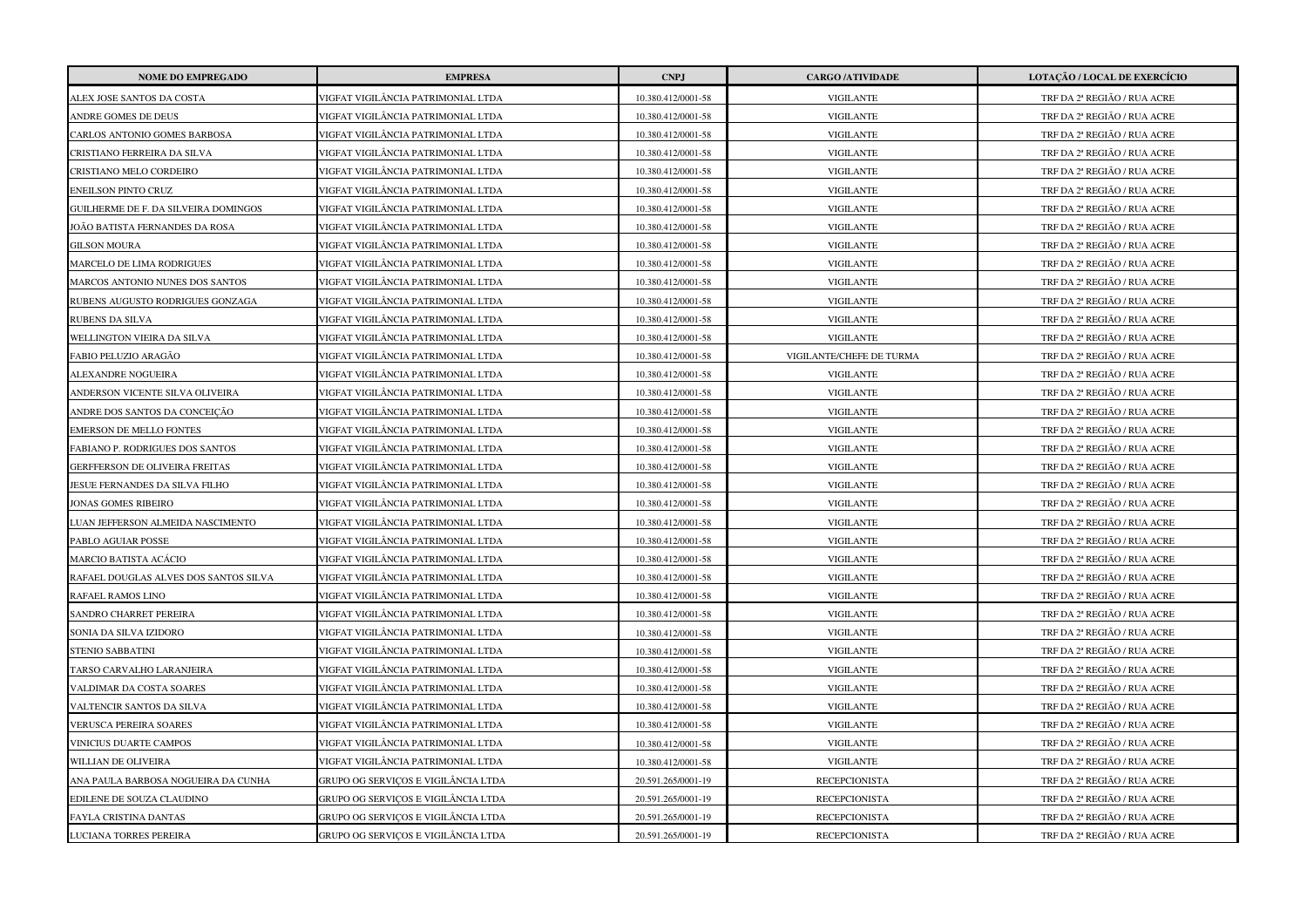| <b>NOME DO EMPREGADO</b>              | <b>EMPRESA</b>                      | <b>CNPJ</b>        | <b>CARGO /ATIVIDADE</b>  | LOTAÇÃO / LOCAL DE EXERCÍCIO |
|---------------------------------------|-------------------------------------|--------------------|--------------------------|------------------------------|
| ALEX JOSE SANTOS DA COSTA             | VIGFAT VIGILÂNCIA PATRIMONIAL LTDA  | 10.380.412/0001-58 | <b>VIGILANTE</b>         | TRF DA 2ª REGIÃO / RUA ACRE  |
| ANDRE GOMES DE DEUS                   | VIGFAT VIGILÂNCIA PATRIMONIAL LTDA  | 10.380.412/0001-58 | <b>VIGILANTE</b>         | TRF DA 2ª REGIÃO / RUA ACRE  |
| CARLOS ANTONIO GOMES BARBOSA          | VIGFAT VIGILÂNCIA PATRIMONIAL LTDA  | 10.380.412/0001-58 | <b>VIGILANTE</b>         | TRF DA 2ª REGIÃO / RUA ACRE  |
| CRISTIANO FERREIRA DA SILVA           | VIGFAT VIGILÂNCIA PATRIMONIAL LTDA  | 10.380.412/0001-58 | <b>VIGILANTE</b>         | TRF DA 2ª REGIÃO / RUA ACRE  |
| CRISTIANO MELO CORDEIRO               | VIGFAT VIGILÂNCIA PATRIMONIAL LTDA  | 10.380.412/0001-58 | <b>VIGILANTE</b>         | TRF DA 2ª REGIÃO / RUA ACRE  |
| <b>ENEILSON PINTO CRUZ</b>            | VIGFAT VIGILÂNCIA PATRIMONIAL LTDA  | 10.380.412/0001-58 | <b>VIGILANTE</b>         | TRF DA 2ª REGIÃO / RUA ACRE  |
| GUILHERME DE F. DA SILVEIRA DOMINGOS  | VIGFAT VIGILÂNCIA PATRIMONIAL LTDA  | 10.380.412/0001-58 | <b>VIGILANTE</b>         | TRF DA 2ª REGIÃO / RUA ACRE  |
| JOÃO BATISTA FERNANDES DA ROSA        | VIGFAT VIGILÂNCIA PATRIMONIAL LTDA  | 10.380.412/0001-58 | <b>VIGILANTE</b>         | TRF DA 2ª REGIÃO / RUA ACRE  |
| <b>GILSON MOURA</b>                   | VIGFAT VIGILÂNCIA PATRIMONIAL LTDA  | 10.380.412/0001-58 | <b>VIGILANTE</b>         | TRF DA 2ª REGIÃO / RUA ACRE  |
| MARCELO DE LIMA RODRIGUES             | VIGFAT VIGILÂNCIA PATRIMONIAL LTDA  | 10.380.412/0001-58 | <b>VIGILANTE</b>         | TRF DA 2ª REGIÃO / RUA ACRE  |
| MARCOS ANTONIO NUNES DOS SANTOS       | VIGFAT VIGILÂNCIA PATRIMONIAL LTDA  | 10.380.412/0001-58 | <b>VIGILANTE</b>         | TRF DA 2ª REGIÃO / RUA ACRE  |
| RUBENS AUGUSTO RODRIGUES GONZAGA      | VIGFAT VIGILÂNCIA PATRIMONIAL LTDA  | 10.380.412/0001-58 | <b>VIGILANTE</b>         | TRF DA 2ª REGIÃO / RUA ACRE  |
| RUBENS DA SILVA                       | VIGFAT VIGILÂNCIA PATRIMONIAL LTDA  | 10.380.412/0001-58 | <b>VIGILANTE</b>         | TRF DA 2ª REGIÃO / RUA ACRE  |
| WELLINGTON VIEIRA DA SILVA            | VIGFAT VIGILÂNCIA PATRIMONIAL LTDA  | 10.380.412/0001-58 | <b>VIGILANTE</b>         | TRF DA 2ª REGIÃO / RUA ACRE  |
| FABIO PELUZIO ARAGÃO                  | VIGFAT VIGILÂNCIA PATRIMONIAL LTDA  | 10.380.412/0001-58 | VIGILANTE/CHEFE DE TURMA | TRF DA 2ª REGIÃO / RUA ACRE  |
| ALEXANDRE NOGUEIRA                    | VIGFAT VIGILÂNCIA PATRIMONIAL LTDA  | 10.380.412/0001-58 | <b>VIGILANTE</b>         | TRF DA 2ª REGIÃO / RUA ACRE  |
| ANDERSON VICENTE SILVA OLIVEIRA       | VIGFAT VIGILÂNCIA PATRIMONIAL LTDA  | 10.380.412/0001-58 | <b>VIGILANTE</b>         | TRF DA 2ª REGIÃO / RUA ACRE  |
| ANDRE DOS SANTOS DA CONCEIÇÃO         | VIGFAT VIGILÂNCIA PATRIMONIAL LTDA  | 10.380.412/0001-58 | <b>VIGILANTE</b>         | TRF DA 2ª REGIÃO / RUA ACRE  |
| <b>EMERSON DE MELLO FONTES</b>        | VIGFAT VIGILÂNCIA PATRIMONIAL LTDA  | 10.380.412/0001-58 | <b>VIGILANTE</b>         | TRF DA 2ª REGIÃO / RUA ACRE  |
| FABIANO P. RODRIGUES DOS SANTOS       | VIGFAT VIGILÂNCIA PATRIMONIAL LTDA  | 10.380.412/0001-58 | <b>VIGILANTE</b>         | TRF DA 2ª REGIÃO / RUA ACRE  |
| GERFFERSON DE OLIVEIRA FREITAS        | VIGFAT VIGILÂNCIA PATRIMONIAL LTDA  | 10.380.412/0001-58 | <b>VIGILANTE</b>         | TRF DA 2ª REGIÃO / RUA ACRE  |
| JESUE FERNANDES DA SILVA FILHO        | VIGFAT VIGILÂNCIA PATRIMONIAL LTDA  | 10.380.412/0001-58 | <b>VIGILANTE</b>         | TRF DA 2ª REGIÃO / RUA ACRE  |
| JONAS GOMES RIBEIRO                   | VIGFAT VIGILÂNCIA PATRIMONIAL LTDA  | 10.380.412/0001-58 | <b>VIGILANTE</b>         | TRF DA 2ª REGIÃO / RUA ACRE  |
| LUAN JEFFERSON ALMEIDA NASCIMENTO     | VIGFAT VIGILÂNCIA PATRIMONIAL LTDA  | 10.380.412/0001-58 | <b>VIGILANTE</b>         | TRF DA 2ª REGIÃO / RUA ACRE  |
| PABLO AGUIAR POSSE                    | VIGFAT VIGILÂNCIA PATRIMONIAL LTDA  | 10.380.412/0001-58 | <b>VIGILANTE</b>         | TRF DA 2ª REGIÃO / RUA ACRE  |
| MARCIO BATISTA ACÁCIO                 | VIGFAT VIGILÂNCIA PATRIMONIAL LTDA  | 10.380.412/0001-58 | <b>VIGILANTE</b>         | TRF DA 2ª REGIÃO / RUA ACRE  |
| RAFAEL DOUGLAS ALVES DOS SANTOS SILVA | VIGFAT VIGILÂNCIA PATRIMONIAL LTDA  | 10.380.412/0001-58 | <b>VIGILANTE</b>         | TRF DA 2ª REGIÃO / RUA ACRE  |
| RAFAEL RAMOS LINO                     | VIGFAT VIGILÂNCIA PATRIMONIAL LTDA  | 10.380.412/0001-58 | <b>VIGILANTE</b>         | TRF DA 2ª REGIÃO / RUA ACRE  |
| SANDRO CHARRET PEREIRA                | VIGFAT VIGILÂNCIA PATRIMONIAL LTDA  | 10.380.412/0001-58 | <b>VIGILANTE</b>         | TRF DA 2ª REGIÃO / RUA ACRE  |
| SONIA DA SILVA IZIDORO                | VIGFAT VIGILÂNCIA PATRIMONIAL LTDA  | 10.380.412/0001-58 | <b>VIGILANTE</b>         | TRF DA 2ª REGIÃO / RUA ACRE  |
| <b>STENIO SABBATINI</b>               | VIGFAT VIGILÂNCIA PATRIMONIAL LTDA  | 10.380.412/0001-58 | <b>VIGILANTE</b>         | TRF DA 2ª REGIÃO / RUA ACRE  |
| TARSO CARVALHO LARANJEIRA             | VIGFAT VIGILÂNCIA PATRIMONIAL LTDA  | 10.380.412/0001-58 | <b>VIGILANTE</b>         | TRF DA 2ª REGIÃO / RUA ACRE  |
| VALDIMAR DA COSTA SOARES              | VIGFAT VIGILÂNCIA PATRIMONIAL LTDA  | 10.380.412/0001-58 | <b>VIGILANTE</b>         | TRF DA 2ª REGIÃO / RUA ACRE  |
| VALTENCIR SANTOS DA SILVA             | VIGFAT VIGILÂNCIA PATRIMONIAL LTDA  | 10.380.412/0001-58 | <b>VIGILANTE</b>         | TRF DA 2ª REGIÃO / RUA ACRE  |
| VERUSCA PEREIRA SOARES                | VIGFAT VIGILÂNCIA PATRIMONIAL LTDA  | 10.380.412/0001-58 | <b>VIGILANTE</b>         | TRF DA 2ª REGIÃO / RUA ACRE  |
| VINICIUS DUARTE CAMPOS                | VIGFAT VIGILÂNCIA PATRIMONIAL LTDA  | 10.380.412/0001-58 | <b>VIGILANTE</b>         | TRF DA 2ª REGIÃO / RUA ACRE  |
| WILLIAN DE OLIVEIRA                   | VIGFAT VIGILÂNCIA PATRIMONIAL LTDA  | 10.380.412/0001-58 | <b>VIGILANTE</b>         | TRF DA 2ª REGIÃO / RUA ACRE  |
| ANA PAULA BARBOSA NOGUEIRA DA CUNHA   | GRUPO OG SERVICOS E VIGILÂNCIA LTDA | 20.591.265/0001-19 | <b>RECEPCIONISTA</b>     | TRF DA 2ª REGIÃO / RUA ACRE  |
| EDILENE DE SOUZA CLAUDINO             | GRUPO OG SERVIÇOS E VIGILÂNCIA LTDA | 20.591.265/0001-19 | <b>RECEPCIONISTA</b>     | TRF DA 2ª REGIÃO / RUA ACRE  |
| FAYLA CRISTINA DANTAS                 | GRUPO OG SERVICOS E VIGILÂNCIA LTDA | 20.591.265/0001-19 | <b>RECEPCIONISTA</b>     | TRF DA 2ª REGIÃO / RUA ACRE  |
| LUCIANA TORRES PEREIRA                | GRUPO OG SERVICOS E VIGILÂNCIA LTDA | 20.591.265/0001-19 | <b>RECEPCIONISTA</b>     | TRF DA 2ª REGIÃO / RUA ACRE  |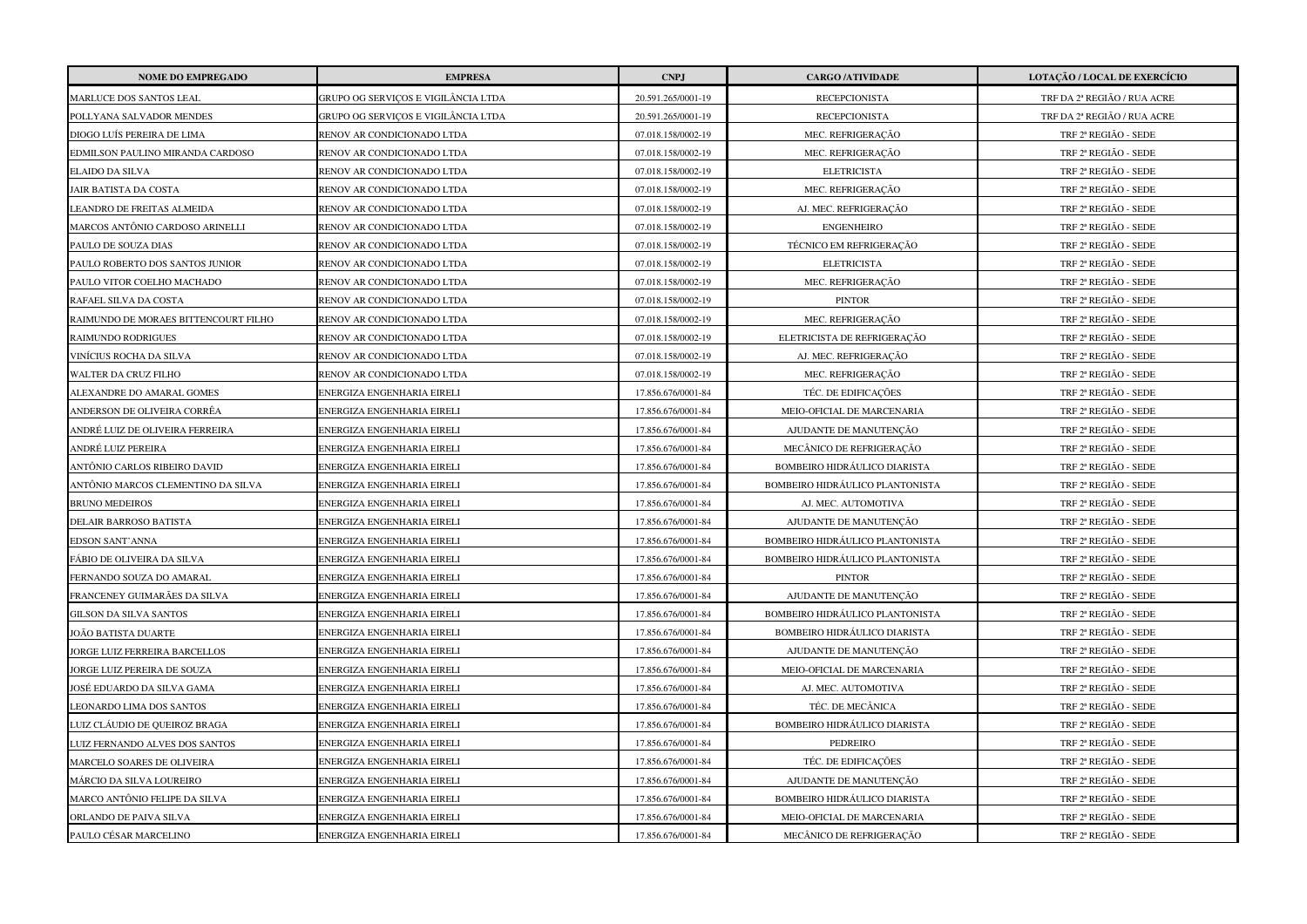| <b>NOME DO EMPREGADO</b>             | <b>EMPRESA</b>                      | <b>CNPJ</b>        | <b>CARGO /ATIVIDADE</b>                | LOTAÇÃO / LOCAL DE EXERCÍCIO |
|--------------------------------------|-------------------------------------|--------------------|----------------------------------------|------------------------------|
| MARLUCE DOS SANTOS LEAL              | GRUPO OG SERVICOS E VIGILÂNCIA LTDA | 20.591.265/0001-19 | <b>RECEPCIONISTA</b>                   | TRF DA 2ª REGIÃO / RUA ACRE  |
| POLLYANA SALVADOR MENDES             | GRUPO OG SERVIÇOS E VIGILÂNCIA LTDA | 20.591.265/0001-19 | <b>RECEPCIONISTA</b>                   | TRF DA 2ª REGIÃO / RUA ACRE  |
| DIOGO LUÍS PEREIRA DE LIMA           | RENOV AR CONDICIONADO LTDA          | 07.018.158/0002-19 | MEC. REFRIGERAÇÃO                      | TRF 2ª REGIÃO - SEDE         |
| EDMILSON PAULINO MIRANDA CARDOSO     | RENOV AR CONDICIONADO LTDA          | 07.018.158/0002-19 | MEC. REFRIGERAÇÃO                      | TRF 2ª REGIÃO - SEDE         |
| ELAIDO DA SILVA                      | RENOV AR CONDICIONADO LTDA          | 07.018.158/0002-19 | <b>ELETRICISTA</b>                     | TRF 2ª REGIÃO - SEDE         |
| AIR BATISTA DA COSTA                 | RENOV AR CONDICIONADO LTDA          | 07.018.158/0002-19 | MEC. REFRIGERAÇÃO                      | TRF 2ª REGIÃO - SEDE         |
| LEANDRO DE FREITAS ALMEIDA           | RENOV AR CONDICIONADO LTDA          | 07.018.158/0002-19 | AJ. MEC. REFRIGERAÇÃO                  | TRF 2ª REGIÃO - SEDE         |
| MARCOS ANTÔNIO CARDOSO ARINELLI      | RENOV AR CONDICIONADO LTDA          | 07.018.158/0002-19 | <b>ENGENHEIRO</b>                      | TRF 2ª REGIÃO - SEDE         |
| PAULO DE SOUZA DIAS                  | RENOV AR CONDICIONADO LTDA          | 07.018.158/0002-19 | TÉCNICO EM REFRIGERAÇÃO                | TRF 2ª REGIÃO - SEDE         |
| PAULO ROBERTO DOS SANTOS JUNIOR      | RENOV AR CONDICIONADO LTDA          | 07.018.158/0002-19 | <b>ELETRICISTA</b>                     | TRF 2ª REGIÃO - SEDE         |
| PAULO VITOR COELHO MACHADO           | RENOV AR CONDICIONADO LTDA          | 07.018.158/0002-19 | MEC. REFRIGERAÇÃO                      | TRF 2ª REGIÃO - SEDE         |
| RAFAEL SILVA DA COSTA                | RENOV AR CONDICIONADO LTDA          | 07.018.158/0002-19 | <b>PINTOR</b>                          | TRF 2ª REGIÃO - SEDE         |
| RAIMUNDO DE MORAES BITTENCOURT FILHO | RENOV AR CONDICIONADO LTDA          | 07.018.158/0002-19 | MEC. REFRIGERAÇÃO                      | TRF 2ª REGIÃO - SEDE         |
| RAIMUNDO RODRIGUES                   | RENOV AR CONDICIONADO LTDA          | 07.018.158/0002-19 | ELETRICISTA DE REFRIGERAÇÃO            | TRF 2ª REGIÃO - SEDE         |
| VINÍCIUS ROCHA DA SILVA              | RENOV AR CONDICIONADO LTDA          | 07.018.158/0002-19 | AJ. MEC. REFRIGERAÇÃO                  | TRF 2ª REGIÃO - SEDE         |
| WALTER DA CRUZ FILHO                 | RENOV AR CONDICIONADO LTDA          | 07.018.158/0002-19 | MEC. REFRIGERAÇÃO                      | TRF 2ª REGIÃO - SEDE         |
| ALEXANDRE DO AMARAL GOMES            | ENERGIZA ENGENHARIA EIRELI          | 17.856.676/0001-84 | TÉC. DE EDIFICAÇÕES                    | TRF 2ª REGIÃO - SEDE         |
| ANDERSON DE OLIVEIRA CORRÊA          | ENERGIZA ENGENHARIA EIRELI          | 17.856.676/0001-84 | MEIO-OFICIAL DE MARCENARIA             | TRF 2ª REGIÃO - SEDE         |
| ANDRÉ LUIZ DE OLIVEIRA FERREIRA      | ENERGIZA ENGENHARIA EIRELI          | 17.856.676/0001-84 | AJUDANTE DE MANUTENÇÃO                 | TRF 2ª REGIÃO - SEDE         |
| ANDRÉ LUIZ PEREIRA                   | ENERGIZA ENGENHARIA EIRELI          | 17.856.676/0001-84 | MECÂNICO DE REFRIGERAÇÃO               | TRF 2ª REGIÃO - SEDE         |
| ANTÔNIO CARLOS RIBEIRO DAVID         | ENERGIZA ENGENHARIA EIRELI          | 17.856.676/0001-84 | <b>BOMBEIRO HIDRÁULICO DIARISTA</b>    | TRF 2ª REGIÃO - SEDE         |
| ANTÔNIO MARCOS CLEMENTINO DA SILVA   | ENERGIZA ENGENHARIA EIRELI          | 17.856.676/0001-84 | BOMBEIRO HIDRÁULICO PLANTONISTA        | TRF 2ª REGIÃO - SEDE         |
| <b>BRUNO MEDEIROS</b>                | ENERGIZA ENGENHARIA EIRELI          | 17.856.676/0001-84 | AJ. MEC. AUTOMOTIVA                    | TRF 2ª REGIÃO - SEDE         |
| DELAIR BARROSO BATISTA               | ENERGIZA ENGENHARIA EIRELI          | 17.856.676/0001-84 | AJUDANTE DE MANUTENÇÃO                 | TRF 2ª REGIÃO - SEDE         |
| EDSON SANT'ANNA                      | ENERGIZA ENGENHARIA EIRELI          | 17.856.676/0001-84 | BOMBEIRO HIDRÁULICO PLANTONISTA        | TRF 2ª REGIÃO - SEDE         |
| FÁBIO DE OLIVEIRA DA SILVA           | ENERGIZA ENGENHARIA EIRELI          | 17.856.676/0001-84 | BOMBEIRO HIDRÁULICO PLANTONISTA        | TRF 2ª REGIÃO - SEDE         |
| FERNANDO SOUZA DO AMARAL             | ENERGIZA ENGENHARIA EIRELI          | 17.856.676/0001-84 | <b>PINTOR</b>                          | TRF 2ª REGIÃO - SEDE         |
| FRANCENEY GUIMARÃES DA SILVA         | ENERGIZA ENGENHARIA EIRELI          | 17.856.676/0001-84 | AJUDANTE DE MANUTENÇÃO                 | TRF 2ª REGIÃO - SEDE         |
| GILSON DA SILVA SANTOS               | ENERGIZA ENGENHARIA EIRELI          | 17.856.676/0001-84 | <b>BOMBEIRO HIDRÁULICO PLANTONISTA</b> | TRF 2ª REGIÃO - SEDE         |
| JOÃO BATISTA DUARTE                  | ENERGIZA ENGENHARIA EIRELI          | 17.856.676/0001-84 | BOMBEIRO HIDRÁULICO DIARISTA           | TRF 2ª REGIÃO - SEDE         |
| JORGE LUIZ FERREIRA BARCELLOS        | ENERGIZA ENGENHARIA EIRELI          | 17.856.676/0001-84 | AJUDANTE DE MANUTENÇÃO                 | TRF 2ª REGIÃO - SEDE         |
| JORGE LUIZ PEREIRA DE SOUZA          | ENERGIZA ENGENHARIA EIRELI          | 17.856.676/0001-84 | MEIO-OFICIAL DE MARCENARIA             | TRF 2ª REGIÃO - SEDE         |
| JOSÉ EDUARDO DA SILVA GAMA           | ENERGIZA ENGENHARIA EIRELI          | 17.856.676/0001-84 | AJ. MEC. AUTOMOTIVA                    | TRF 2ª REGIÃO - SEDE         |
| LEONARDO LIMA DOS SANTOS             | ENERGIZA ENGENHARIA EIRELI          | 17.856.676/0001-84 | TÉC. DE MECÂNICA                       | TRF 2ª REGIÃO - SEDE         |
| LUIZ CLÁUDIO DE QUEIROZ BRAGA        | ENERGIZA ENGENHARIA EIRELI          | 17.856.676/0001-84 | <b>BOMBEIRO HIDRÁULICO DIARISTA</b>    | TRF 2ª REGIÃO - SEDE         |
| LUIZ FERNANDO ALVES DOS SANTOS       | ENERGIZA ENGENHARIA EIRELI          | 17.856.676/0001-84 | PEDREIRO                               | TRF 2ª REGIÃO - SEDE         |
| MARCELO SOARES DE OLIVEIRA           | ENERGIZA ENGENHARIA EIRELI          | 17.856.676/0001-84 | TÉC. DE EDIFICAÇÕES                    | TRF 2ª REGIÃO - SEDE         |
| MÁRCIO DA SILVA LOUREIRO             | ENERGIZA ENGENHARIA EIRELI          | 17.856.676/0001-84 | AJUDANTE DE MANUTENÇÃO                 | TRF 2ª REGIÃO - SEDE         |
| MARCO ANTÔNIO FELIPE DA SILVA        | ENERGIZA ENGENHARIA EIRELI          | 17.856.676/0001-84 | <b>BOMBEIRO HIDRÁULICO DIARISTA</b>    | TRF 2ª REGIÃO - SEDE         |
| ORLANDO DE PAIVA SILVA               | ENERGIZA ENGENHARIA EIRELI          | 17.856.676/0001-84 | MEIO-OFICIAL DE MARCENARIA             | TRF 2ª REGIÃO - SEDE         |
| PAULO CÉSAR MARCELINO                | ENERGIZA ENGENHARIA EIRELI          | 17.856.676/0001-84 | MECÂNICO DE REFRIGERAÇÃO               | TRF 2ª REGIÃO - SEDE         |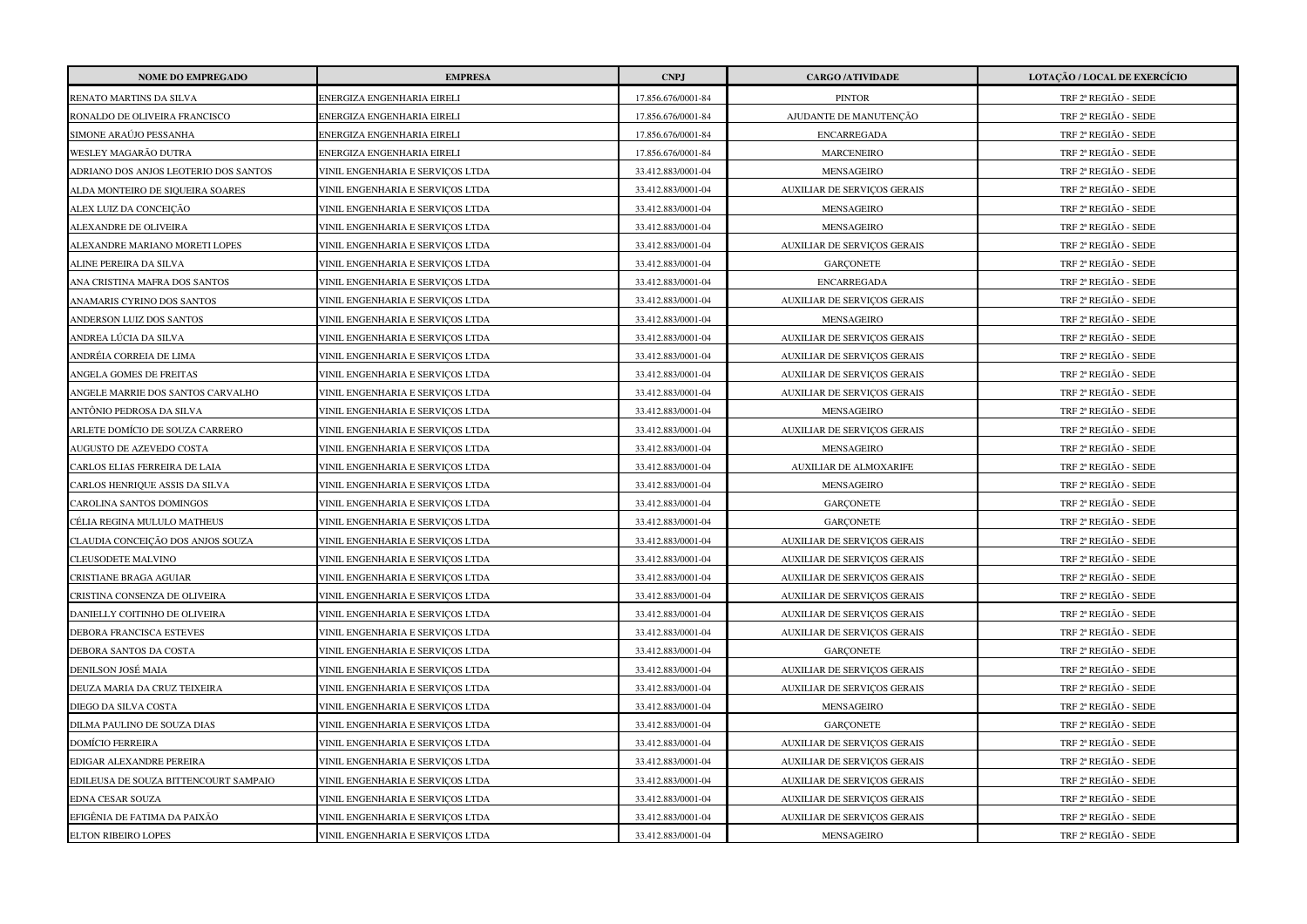| <b>NOME DO EMPREGADO</b>              | <b>EMPRESA</b>                   | <b>CNPJ</b>        | <b>CARGO /ATIVIDADE</b>            | LOTAÇÃO / LOCAL DE EXERCÍCIO |
|---------------------------------------|----------------------------------|--------------------|------------------------------------|------------------------------|
| RENATO MARTINS DA SILVA               | ENERGIZA ENGENHARIA EIRELI       | 17.856.676/0001-84 | <b>PINTOR</b>                      | TRF 2ª REGIÃO - SEDE         |
| RONALDO DE OLIVEIRA FRANCISCO         | ENERGIZA ENGENHARIA EIRELI       | 17.856.676/0001-84 | AJUDANTE DE MANUTENÇÃO             | TRF 2ª REGIÃO - SEDE         |
| SIMONE ARAÚJO PESSANHA                | ENERGIZA ENGENHARIA EIRELI       | 17.856.676/0001-84 | <b>ENCARREGADA</b>                 | TRF 2ª REGIÃO - SEDE         |
| WESLEY MAGARÃO DUTRA                  | ENERGIZA ENGENHARIA EIRELI       | 17.856.676/0001-84 | <b>MARCENEIRO</b>                  | TRF 2ª REGIÃO - SEDE         |
| ADRIANO DOS ANJOS LEOTERIO DOS SANTOS | VINIL ENGENHARIA E SERVIÇOS LTDA | 33.412.883/0001-04 | MENSAGEIRO                         | TRF 2ª REGIÃO - SEDE         |
| ALDA MONTEIRO DE SIQUEIRA SOARES      | VINIL ENGENHARIA E SERVIÇOS LTDA | 33.412.883/0001-04 | <b>AUXILIAR DE SERVIÇOS GERAIS</b> | TRF 2ª REGIÃO - SEDE         |
| ALEX LUIZ DA CONCEIÇÃO                | VINIL ENGENHARIA E SERVIÇOS LTDA | 33.412.883/0001-04 | MENSAGEIRO                         | TRF 2ª REGIÃO - SEDE         |
| ALEXANDRE DE OLIVEIRA                 | VINIL ENGENHARIA E SERVIÇOS LTDA | 33.412.883/0001-04 | MENSAGEIRO                         | TRF 2ª REGIÃO - SEDE         |
| ALEXANDRE MARIANO MORETI LOPES        | VINIL ENGENHARIA E SERVIÇOS LTDA | 33.412.883/0001-04 | <b>AUXILIAR DE SERVIÇOS GERAIS</b> | TRF 2ª REGIÃO - SEDE         |
| ALINE PEREIRA DA SILVA                | VINIL ENGENHARIA E SERVIÇOS LTDA | 33.412.883/0001-04 | GARÇONETE                          | TRF 2ª REGIÃO - SEDE         |
| ANA CRISTINA MAFRA DOS SANTOS         | VINIL ENGENHARIA E SERVIÇOS LTDA | 33.412.883/0001-04 | <b>ENCARREGADA</b>                 | TRF 2ª REGIÃO - SEDE         |
| ANAMARIS CYRINO DOS SANTOS            | VINIL ENGENHARIA E SERVIÇOS LTDA | 33.412.883/0001-04 | <b>AUXILIAR DE SERVIÇOS GERAIS</b> | TRF 2ª REGIÃO - SEDE         |
| ANDERSON LUIZ DOS SANTOS              | VINIL ENGENHARIA E SERVIÇOS LTDA | 33.412.883/0001-04 | MENSAGEIRO                         | TRF 2ª REGIÃO - SEDE         |
| ANDREA LÚCIA DA SILVA                 | VINIL ENGENHARIA E SERVICOS LTDA | 33.412.883/0001-04 | <b>AUXILIAR DE SERVIÇOS GERAIS</b> | TRF 2ª REGIÃO - SEDE         |
| ANDRÉIA CORREIA DE LIMA               | VINIL ENGENHARIA E SERVIÇOS LTDA | 33.412.883/0001-04 | AUXILIAR DE SERVIÇOS GERAIS        | TRF 2ª REGIÃO - SEDE         |
| ANGELA GOMES DE FREITAS               | VINIL ENGENHARIA E SERVIÇOS LTDA | 33.412.883/0001-04 | <b>AUXILIAR DE SERVIÇOS GERAIS</b> | TRF 2ª REGIÃO - SEDE         |
| ANGELE MARRIE DOS SANTOS CARVALHO     | VINIL ENGENHARIA E SERVIÇOS LTDA | 33.412.883/0001-04 | <b>AUXILIAR DE SERVIÇOS GERAIS</b> | TRF 2ª REGIÃO - SEDE         |
| ANTÔNIO PEDROSA DA SILVA              | VINIL ENGENHARIA E SERVIÇOS LTDA | 33.412.883/0001-04 | MENSAGEIRO                         | TRF 2ª REGIÃO - SEDE         |
| ARLETE DOMÍCIO DE SOUZA CARRERO       | VINIL ENGENHARIA E SERVIÇOS LTDA | 33.412.883/0001-04 | <b>AUXILIAR DE SERVIÇOS GERAIS</b> | TRF 2ª REGIÃO - SEDE         |
| AUGUSTO DE AZEVEDO COSTA              | VINIL ENGENHARIA E SERVIÇOS LTDA | 33.412.883/0001-04 | MENSAGEIRO                         | TRF 2ª REGIÃO - SEDE         |
| CARLOS ELIAS FERREIRA DE LAIA         | VINIL ENGENHARIA E SERVICOS LTDA | 33.412.883/0001-04 | <b>AUXILIAR DE ALMOXARIFE</b>      | TRF 2ª REGIÃO - SEDE         |
| CARLOS HENRIQUE ASSIS DA SILVA        | VINIL ENGENHARIA E SERVIÇOS LTDA | 33.412.883/0001-04 | MENSAGEIRO                         | TRF 2ª REGIÃO - SEDE         |
| CAROLINA SANTOS DOMINGOS              | VINIL ENGENHARIA E SERVIÇOS LTDA | 33.412.883/0001-04 | <b>GARCONETE</b>                   | TRF 2ª REGIÃO - SEDE         |
| CÉLIA REGINA MULULO MATHEUS           | VINIL ENGENHARIA E SERVIÇOS LTDA | 33.412.883/0001-04 | GARÇONETE                          | TRF 2ª REGIÃO - SEDE         |
| CLAUDIA CONCEIÇÃO DOS ANJOS SOUZA     | VINIL ENGENHARIA E SERVIÇOS LTDA | 33.412.883/0001-04 | <b>AUXILIAR DE SERVIÇOS GERAIS</b> | TRF 2ª REGIÃO - SEDE         |
| <b>CLEUSODETE MALVINO</b>             | VINIL ENGENHARIA E SERVIÇOS LTDA | 33.412.883/0001-04 | AUXILIAR DE SERVIÇOS GERAIS        | TRF 2ª REGIÃO - SEDE         |
| CRISTIANE BRAGA AGUIAR                | VINIL ENGENHARIA E SERVIÇOS LTDA | 33.412.883/0001-04 | AUXILIAR DE SERVIÇOS GERAIS        | TRF 2ª REGIÃO - SEDE         |
| CRISTINA CONSENZA DE OLIVEIRA         | VINIL ENGENHARIA E SERVICOS LTDA | 33.412.883/0001-04 | <b>AUXILIAR DE SERVIÇOS GERAIS</b> | TRF 2ª REGIÃO - SEDE         |
| DANIELLY COITINHO DE OLIVEIRA         | VINIL ENGENHARIA E SERVICOS LTDA | 33.412.883/0001-04 | AUXILIAR DE SERVIÇOS GERAIS        | TRF 2ª REGIÃO - SEDE         |
| DEBORA FRANCISCA ESTEVES              | VINIL ENGENHARIA E SERVIÇOS LTDA | 33.412.883/0001-04 | AUXILIAR DE SERVIÇOS GERAIS        | TRF 2ª REGIÃO - SEDE         |
| DEBORA SANTOS DA COSTA                | VINIL ENGENHARIA E SERVIÇOS LTDA | 33.412.883/0001-04 | <b>GARÇONETE</b>                   | TRF 2ª REGIÃO - SEDE         |
| DENILSON JOSÉ MAIA                    | VINIL ENGENHARIA E SERVIÇOS LTDA | 33.412.883/0001-04 | <b>AUXILIAR DE SERVIÇOS GERAIS</b> | TRF 2ª REGIÃO - SEDE         |
| DEUZA MARIA DA CRUZ TEIXEIRA          | VINIL ENGENHARIA E SERVIÇOS LTDA | 33.412.883/0001-04 | <b>AUXILIAR DE SERVIÇOS GERAIS</b> | TRF 2ª REGIÃO - SEDE         |
| DIEGO DA SILVA COSTA                  | VINIL ENGENHARIA E SERVIÇOS LTDA | 33.412.883/0001-04 | <b>MENSAGEIRO</b>                  | TRF 2ª REGIÃO - SEDE         |
| DILMA PAULINO DE SOUZA DIAS           | VINIL ENGENHARIA E SERVIÇOS LTDA | 33.412.883/0001-04 | <b>GARCONETE</b>                   | TRF 2ª REGIÃO - SEDE         |
| <b>DOMÍCIO FERREIRA</b>               | VINIL ENGENHARIA E SERVIÇOS LTDA | 33.412.883/0001-04 | <b>AUXILIAR DE SERVIÇOS GERAIS</b> | TRF 2ª REGIÃO - SEDE         |
| EDIGAR ALEXANDRE PEREIRA              | VINIL ENGENHARIA E SERVICOS LTDA | 33.412.883/0001-04 | AUXILIAR DE SERVIÇOS GERAIS        | TRF 2ª REGIÃO - SEDE         |
| EDILEUSA DE SOUZA BITTENCOURT SAMPAIO | VINIL ENGENHARIA E SERVICOS LTDA | 33.412.883/0001-04 | <b>AUXILIAR DE SERVICOS GERAIS</b> | TRF 2ª REGIÃO - SEDE         |
| EDNA CESAR SOUZA                      | VINIL ENGENHARIA E SERVIÇOS LTDA | 33.412.883/0001-04 | <b>AUXILIAR DE SERVIÇOS GERAIS</b> | TRF 2ª REGIÃO - SEDE         |
| EFIGÊNIA DE FATIMA DA PAIXÃO          | VINIL ENGENHARIA E SERVIÇOS LTDA | 33.412.883/0001-04 | <b>AUXILIAR DE SERVIÇOS GERAIS</b> | TRF 2ª REGIÃO - SEDE         |
| <b>ELTON RIBEIRO LOPES</b>            | VINIL ENGENHARIA E SERVICOS LTDA | 33.412.883/0001-04 | <b>MENSAGEIRO</b>                  | TRF 2ª REGIÃO - SEDE         |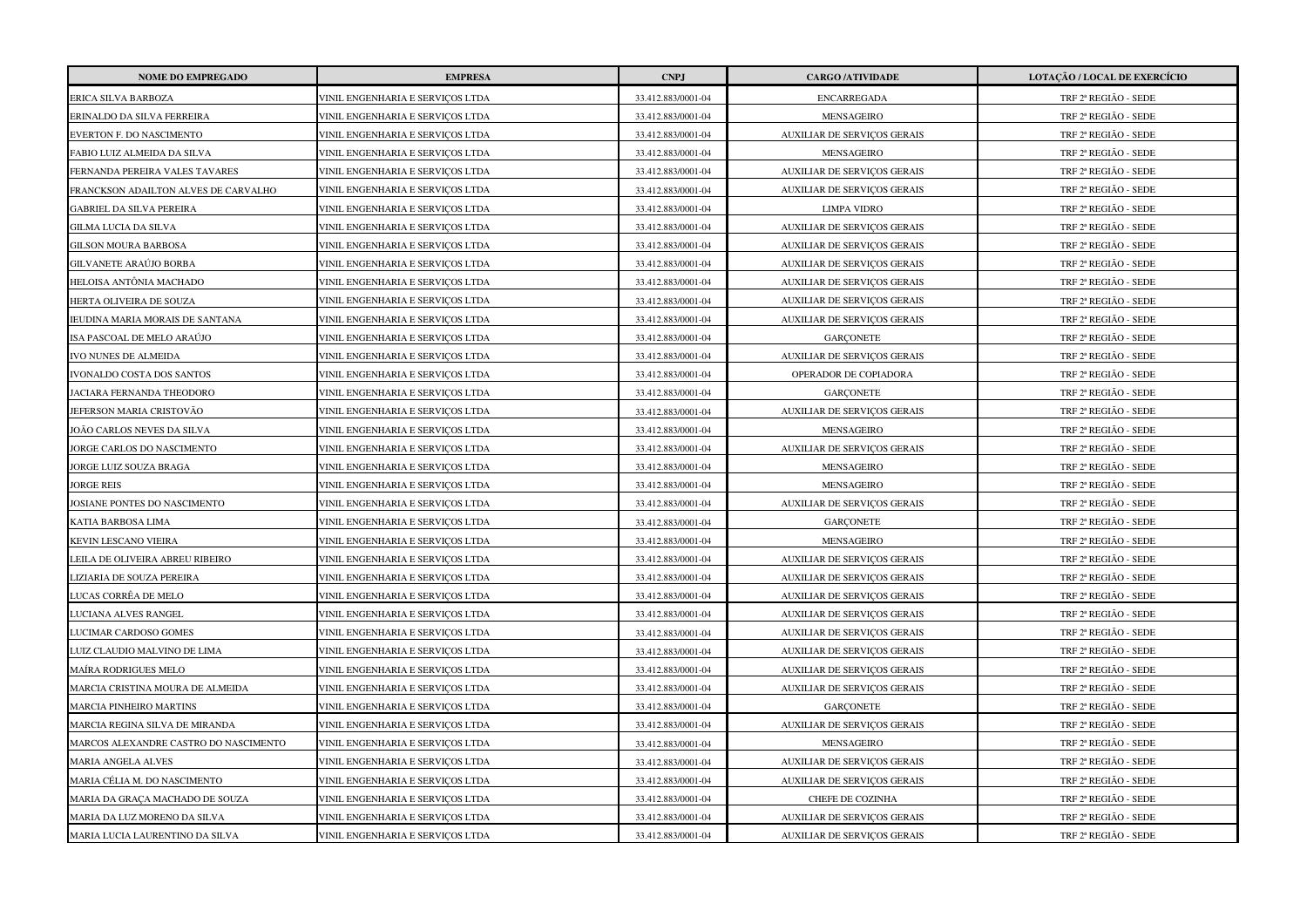| <b>NOME DO EMPREGADO</b>              | <b>EMPRESA</b>                   | <b>CNPJ</b>        | <b>CARGO /ATIVIDADE</b>            | LOTAÇÃO / LOCAL DE EXERCÍCIO |
|---------------------------------------|----------------------------------|--------------------|------------------------------------|------------------------------|
| ERICA SILVA BARBOZA                   | VINIL ENGENHARIA E SERVICOS LTDA | 33.412.883/0001-04 | <b>ENCARREGADA</b>                 | TRF 2ª REGIÃO - SEDE         |
| ERINALDO DA SILVA FERREIRA            | VINIL ENGENHARIA E SERVIÇOS LTDA | 33.412.883/0001-04 | MENSAGEIRO                         | TRF 2ª REGIÃO - SEDE         |
| EVERTON F. DO NASCIMENTO              | VINIL ENGENHARIA E SERVIÇOS LTDA | 33.412.883/0001-04 | <b>AUXILIAR DE SERVIÇOS GERAIS</b> | TRF 2ª REGIÃO - SEDE         |
| FABIO LUIZ ALMEIDA DA SILVA           | VINIL ENGENHARIA E SERVICOS LTDA | 33.412.883/0001-04 | MENSAGEIRO                         | TRF 2ª REGIÃO - SEDE         |
| FERNANDA PEREIRA VALES TAVARES        | VINIL ENGENHARIA E SERVIÇOS LTDA | 33.412.883/0001-04 | <b>AUXILIAR DE SERVIÇOS GERAIS</b> | TRF 2ª REGIÃO - SEDE         |
| FRANCKSON ADAILTON ALVES DE CARVALHO  | VINIL ENGENHARIA E SERVIÇOS LTDA | 33.412.883/0001-04 | <b>AUXILIAR DE SERVIÇOS GERAIS</b> | TRF 2ª REGIÃO - SEDE         |
| GABRIEL DA SILVA PEREIRA              | VINIL ENGENHARIA E SERVIÇOS LTDA | 33.412.883/0001-04 | <b>LIMPA VIDRO</b>                 | TRF 2ª REGIÃO - SEDE         |
| <b>GILMA LUCIA DA SILVA</b>           | VINIL ENGENHARIA E SERVIÇOS LTDA | 33.412.883/0001-04 | <b>AUXILIAR DE SERVIÇOS GERAIS</b> | TRF 2ª REGIÃO - SEDE         |
| <b>GILSON MOURA BARBOSA</b>           | VINIL ENGENHARIA E SERVIÇOS LTDA | 33.412.883/0001-04 | <b>AUXILIAR DE SERVIÇOS GERAIS</b> | TRF 2ª REGIÃO - SEDE         |
| GILVANETE ARAÚJO BORBA                | VINIL ENGENHARIA E SERVIÇOS LTDA | 33.412.883/0001-04 | <b>AUXILIAR DE SERVIÇOS GERAIS</b> | TRF 2ª REGIÃO - SEDE         |
| HELOISA ANTÔNIA MACHADO               | VINIL ENGENHARIA E SERVIÇOS LTDA | 33.412.883/0001-04 | <b>AUXILIAR DE SERVIÇOS GERAIS</b> | TRF 2ª REGIÃO - SEDE         |
| HERTA OLIVEIRA DE SOUZA               | VINIL ENGENHARIA E SERVIÇOS LTDA | 33.412.883/0001-04 | <b>AUXILIAR DE SERVIÇOS GERAIS</b> | TRF 2ª REGIÃO - SEDE         |
| IEUDINA MARIA MORAIS DE SANTANA       | VINIL ENGENHARIA E SERVIÇOS LTDA | 33.412.883/0001-04 | AUXILIAR DE SERVIÇOS GERAIS        | TRF 2ª REGIÃO - SEDE         |
| ISA PASCOAL DE MELO ARAÚJO            | VINIL ENGENHARIA E SERVIÇOS LTDA | 33.412.883/0001-04 | <b>GARÇONETE</b>                   | TRF 2ª REGIÃO - SEDE         |
| IVO NUNES DE ALMEIDA                  | VINIL ENGENHARIA E SERVIÇOS LTDA | 33.412.883/0001-04 | <b>AUXILIAR DE SERVIÇOS GERAIS</b> | TRF 2ª REGIÃO - SEDE         |
| IVONALDO COSTA DOS SANTOS             | VINIL ENGENHARIA E SERVIÇOS LTDA | 33.412.883/0001-04 | OPERADOR DE COPIADORA              | TRF 2ª REGIÃO - SEDE         |
| ACIARA FERNANDA THEODORO              | VINIL ENGENHARIA E SERVIÇOS LTDA | 33.412.883/0001-04 | <b>GARCONETE</b>                   | TRF 2ª REGIÃO - SEDE         |
| JEFERSON MARIA CRISTOVÃO              | VINIL ENGENHARIA E SERVIÇOS LTDA | 33.412.883/0001-04 | AUXILIAR DE SERVIÇOS GERAIS        | TRF 2ª REGIÃO - SEDE         |
| JOÃO CARLOS NEVES DA SILVA            | VINIL ENGENHARIA E SERVIÇOS LTDA | 33.412.883/0001-04 | MENSAGEIRO                         | TRF 2ª REGIÃO - SEDE         |
| JORGE CARLOS DO NASCIMENTO            | VINIL ENGENHARIA E SERVIÇOS LTDA | 33.412.883/0001-04 | <b>AUXILIAR DE SERVIÇOS GERAIS</b> | TRF 2ª REGIÃO - SEDE         |
| JORGE LUIZ SOUZA BRAGA                | VINIL ENGENHARIA E SERVICOS LTDA | 33.412.883/0001-04 | <b>MENSAGEIRO</b>                  | TRF 2ª REGIÃO - SEDE         |
| <b>JORGE REIS</b>                     | VINIL ENGENHARIA E SERVIÇOS LTDA | 33.412.883/0001-04 | MENSAGEIRO                         | TRF 2ª REGIÃO - SEDE         |
| JOSIANE PONTES DO NASCIMENTO          | VINIL ENGENHARIA E SERVIÇOS LTDA | 33.412.883/0001-04 | <b>AUXILIAR DE SERVIÇOS GERAIS</b> | TRF 2ª REGIÃO - SEDE         |
| KATIA BARBOSA LIMA                    | VINIL ENGENHARIA E SERVIÇOS LTDA | 33.412.883/0001-04 | <b>GARÇONETE</b>                   | TRF 2ª REGIÃO - SEDE         |
| KEVIN LESCANO VIEIRA                  | VINIL ENGENHARIA E SERVIÇOS LTDA | 33.412.883/0001-04 | MENSAGEIRO                         | TRF 2ª REGIÃO - SEDE         |
| LEILA DE OLIVEIRA ABREU RIBEIRO       | VINIL ENGENHARIA E SERVIÇOS LTDA | 33.412.883/0001-04 | <b>AUXILIAR DE SERVIÇOS GERAIS</b> | TRF 2ª REGIÃO - SEDE         |
| JIZIARIA DE SOUZA PEREIRA             | VINIL ENGENHARIA E SERVIÇOS LTDA | 33.412.883/0001-04 | AUXILIAR DE SERVIÇOS GERAIS        | TRF 2ª REGIÃO - SEDE         |
| UCAS CORRÊA DE MELO                   | VINIL ENGENHARIA E SERVIÇOS LTDA | 33.412.883/0001-04 | <b>AUXILIAR DE SERVIÇOS GERAIS</b> | TRF 2ª REGIÃO - SEDE         |
| LUCIANA ALVES RANGEL                  | VINIL ENGENHARIA E SERVICOS LTDA | 33.412.883/0001-04 | <b>AUXILIAR DE SERVIÇOS GERAIS</b> | TRF 2ª REGIÃO - SEDE         |
| LUCIMAR CARDOSO GOMES                 | VINIL ENGENHARIA E SERVIÇOS LTDA | 33.412.883/0001-04 | <b>AUXILIAR DE SERVIÇOS GERAIS</b> | TRF 2ª REGIÃO - SEDE         |
| LUIZ CLAUDIO MALVINO DE LIMA          | VINIL ENGENHARIA E SERVIÇOS LTDA | 33.412.883/0001-04 | AUXILIAR DE SERVIÇOS GERAIS        | TRF 2ª REGIÃO - SEDE         |
| MAÍRA RODRIGUES MELO                  | VINIL ENGENHARIA E SERVIÇOS LTDA | 33.412.883/0001-04 | <b>AUXILIAR DE SERVIÇOS GERAIS</b> | TRF 2ª REGIÃO - SEDE         |
| MARCIA CRISTINA MOURA DE ALMEIDA      | VINIL ENGENHARIA E SERVIÇOS LTDA | 33.412.883/0001-04 | <b>AUXILIAR DE SERVIÇOS GERAIS</b> | TRF 2ª REGIÃO - SEDE         |
| <b>MARCIA PINHEIRO MARTINS</b>        | VINIL ENGENHARIA E SERVIÇOS LTDA | 33.412.883/0001-04 | <b>GARÇONETE</b>                   | TRF 2ª REGIÃO - SEDE         |
| MARCIA REGINA SILVA DE MIRANDA        | VINIL ENGENHARIA E SERVIÇOS LTDA | 33.412.883/0001-04 | <b>AUXILIAR DE SERVIÇOS GERAIS</b> | TRF 2ª REGIÃO - SEDE         |
| MARCOS ALEXANDRE CASTRO DO NASCIMENTO | VINIL ENGENHARIA E SERVIÇOS LTDA | 33.412.883/0001-04 | MENSAGEIRO                         | TRF 2ª REGIÃO - SEDE         |
| MARIA ANGELA ALVES                    | VINIL ENGENHARIA E SERVIÇOS LTDA | 33.412.883/0001-04 | AUXILIAR DE SERVIÇOS GERAIS        | TRF 2ª REGIÃO - SEDE         |
| MARIA CÉLIA M. DO NASCIMENTO          | VINIL ENGENHARIA E SERVICOS LTDA | 33.412.883/0001-04 | <b>AUXILIAR DE SERVIÇOS GERAIS</b> | TRF 2ª REGIÃO - SEDE         |
| MARIA DA GRAÇA MACHADO DE SOUZA       | VINIL ENGENHARIA E SERVIÇOS LTDA | 33.412.883/0001-04 | CHEFE DE COZINHA                   | TRF 2ª REGIÃO - SEDE         |
| MARIA DA LUZ MORENO DA SILVA          | VINIL ENGENHARIA E SERVIÇOS LTDA | 33.412.883/0001-04 | <b>AUXILIAR DE SERVIÇOS GERAIS</b> | TRF 2ª REGIÃO - SEDE         |
| MARIA LUCIA LAURENTINO DA SILVA       | VINIL ENGENHARIA E SERVICOS LTDA | 33.412.883/0001-04 | AUXILIAR DE SERVIÇOS GERAIS        | TRF 2ª REGIÃO - SEDE         |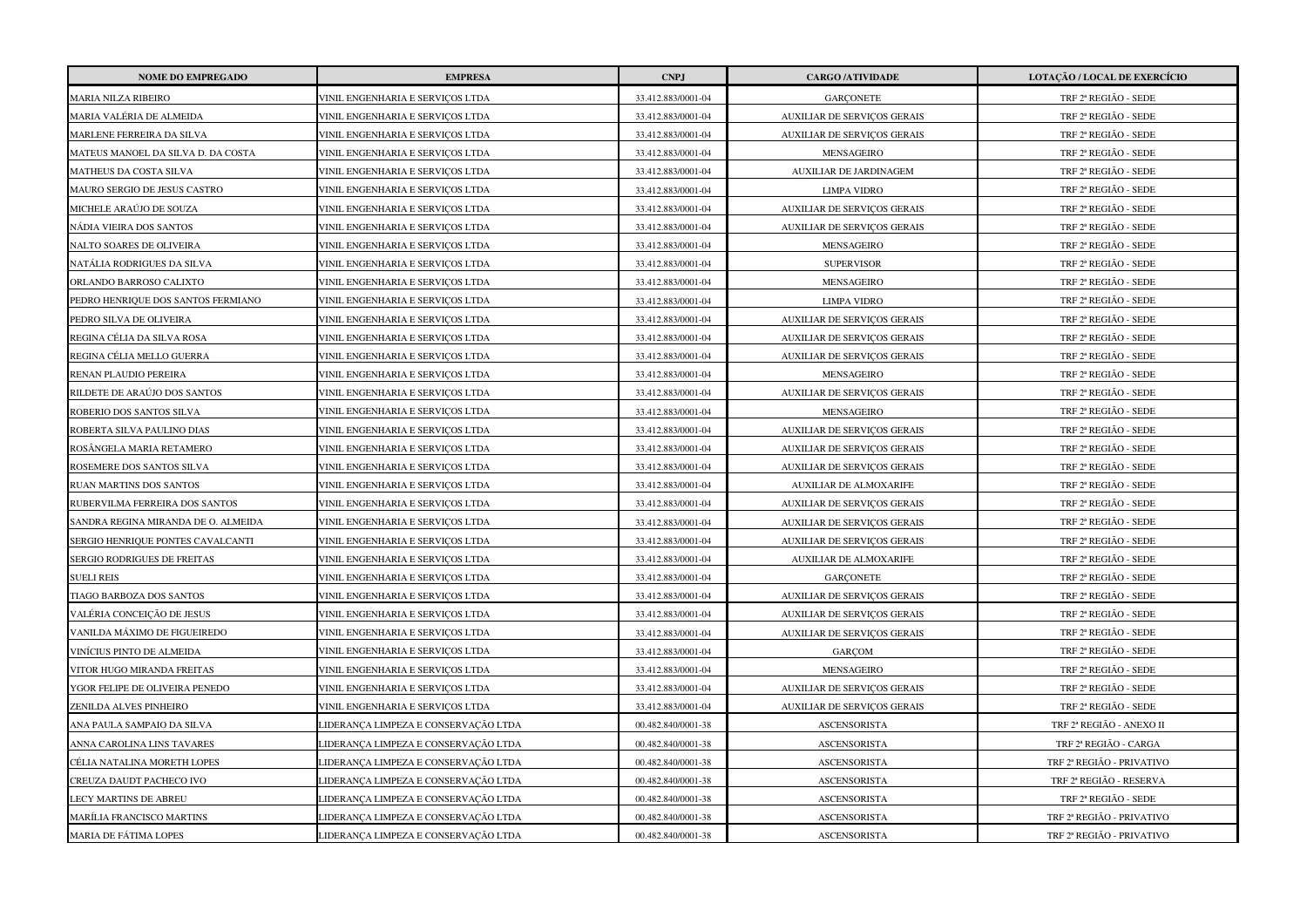| <b>NOME DO EMPREGADO</b>            | <b>EMPRESA</b>                       | <b>CNPJ</b>        | <b>CARGO /ATIVIDADE</b>            | LOTAÇÃO / LOCAL DE EXERCÍCIO |
|-------------------------------------|--------------------------------------|--------------------|------------------------------------|------------------------------|
| <b>MARIA NILZA RIBEIRO</b>          | VINIL ENGENHARIA E SERVIÇOS LTDA     | 33.412.883/0001-04 | <b>GARCONETE</b>                   | TRF 2ª REGIÃO - SEDE         |
| MARIA VALÉRIA DE ALMEIDA            | VINIL ENGENHARIA E SERVICOS LTDA     | 33.412.883/0001-04 | AUXILIAR DE SERVIÇOS GERAIS        | TRF 2ª REGIÃO - SEDE         |
| MARLENE FERREIRA DA SILVA           | VINIL ENGENHARIA E SERVICOS LTDA     | 33.412.883/0001-04 | <b>AUXILIAR DE SERVIÇOS GERAIS</b> | TRF 2ª REGIÃO - SEDE         |
| MATEUS MANOEL DA SILVA D. DA COSTA  | VINIL ENGENHARIA E SERVIÇOS LTDA     | 33.412.883/0001-04 | MENSAGEIRO                         | TRF 2ª REGIÃO - SEDE         |
| MATHEUS DA COSTA SILVA              | VINIL ENGENHARIA E SERVIÇOS LTDA     | 33.412.883/0001-04 | AUXILIAR DE JARDINAGEM             | TRF 2ª REGIÃO - SEDE         |
| MAURO SERGIO DE JESUS CASTRO        | VINIL ENGENHARIA E SERVIÇOS LTDA     | 33.412.883/0001-04 | <b>LIMPA VIDRO</b>                 | TRF 2ª REGIÃO - SEDE         |
| MICHELE ARAÚJO DE SOUZA             | VINIL ENGENHARIA E SERVIÇOS LTDA     | 33.412.883/0001-04 | <b>AUXILIAR DE SERVIÇOS GERAIS</b> | TRF 2ª REGIÃO - SEDE         |
| NÁDIA VIEIRA DOS SANTOS             | VINIL ENGENHARIA E SERVIÇOS LTDA     | 33.412.883/0001-04 | <b>AUXILIAR DE SERVIÇOS GERAIS</b> | TRF 2ª REGIÃO - SEDE         |
| NALTO SOARES DE OLIVEIRA            | VINIL ENGENHARIA E SERVIÇOS LTDA     | 33.412.883/0001-04 | MENSAGEIRO                         | TRF 2ª REGIÃO - SEDE         |
| NATÁLIA RODRIGUES DA SILVA          | VINIL ENGENHARIA E SERVIÇOS LTDA     | 33.412.883/0001-04 | <b>SUPERVISOR</b>                  | TRF 2ª REGIÃO - SEDE         |
| ORLANDO BARROSO CALIXTO             | VINIL ENGENHARIA E SERVIÇOS LTDA     | 33.412.883/0001-04 | MENSAGEIRO                         | TRF 2ª REGIÃO - SEDE         |
| PEDRO HENRIQUE DOS SANTOS FERMIANO  | VINIL ENGENHARIA E SERVIÇOS LTDA     | 33.412.883/0001-04 | <b>LIMPA VIDRO</b>                 | TRF 2ª REGIÃO - SEDE         |
| PEDRO SILVA DE OLIVEIRA             | VINIL ENGENHARIA E SERVIÇOS LTDA     | 33.412.883/0001-04 | <b>AUXILIAR DE SERVIÇOS GERAIS</b> | TRF 2ª REGIÃO - SEDE         |
| REGINA CÉLIA DA SILVA ROSA          | VINIL ENGENHARIA E SERVIÇOS LTDA     | 33.412.883/0001-04 | <b>AUXILIAR DE SERVIÇOS GERAIS</b> | TRF 2ª REGIÃO - SEDE         |
| REGINA CÉLIA MELLO GUERRA           | VINIL ENGENHARIA E SERVIÇOS LTDA     | 33.412.883/0001-04 | <b>AUXILIAR DE SERVIÇOS GERAIS</b> | TRF 2ª REGIÃO - SEDE         |
| RENAN PLAUDIO PEREIRA               | VINIL ENGENHARIA E SERVIÇOS LTDA     | 33.412.883/0001-04 | MENSAGEIRO                         | TRF 2ª REGIÃO - SEDE         |
| RILDETE DE ARAÚJO DOS SANTOS        | VINIL ENGENHARIA E SERVIÇOS LTDA     | 33.412.883/0001-04 | AUXILIAR DE SERVIÇOS GERAIS        | TRF 2ª REGIÃO - SEDE         |
| ROBERIO DOS SANTOS SILVA            | VINIL ENGENHARIA E SERVIÇOS LTDA     | 33.412.883/0001-04 | MENSAGEIRO                         | TRF 2ª REGIÃO - SEDE         |
| ROBERTA SILVA PAULINO DIAS          | VINIL ENGENHARIA E SERVICOS LTDA     | 33.412.883/0001-04 | <b>AUXILIAR DE SERVIÇOS GERAIS</b> | TRF 2ª REGIÃO - SEDE         |
| ROSÂNGELA MARIA RETAMERO            | VINIL ENGENHARIA E SERVIÇOS LTDA     | 33.412.883/0001-04 | AUXILIAR DE SERVIÇOS GERAIS        | TRF 2ª REGIÃO - SEDE         |
| ROSEMERE DOS SANTOS SILVA           | VINIL ENGENHARIA E SERVIÇOS LTDA     | 33.412.883/0001-04 | <b>AUXILIAR DE SERVIÇOS GERAIS</b> | TRF 2ª REGIÃO - SEDE         |
| RUAN MARTINS DOS SANTOS             | VINIL ENGENHARIA E SERVIÇOS LTDA     | 33.412.883/0001-04 | AUXILIAR DE ALMOXARIFE             | TRF 2ª REGIÃO - SEDE         |
| RUBERVILMA FERREIRA DOS SANTOS      | VINIL ENGENHARIA E SERVIÇOS LTDA     | 33.412.883/0001-04 | AUXILIAR DE SERVIÇOS GERAIS        | TRF 2ª REGIÃO - SEDE         |
| SANDRA REGINA MIRANDA DE O. ALMEIDA | VINIL ENGENHARIA E SERVIÇOS LTDA     | 33.412.883/0001-04 | <b>AUXILIAR DE SERVIÇOS GERAIS</b> | TRF 2ª REGIÃO - SEDE         |
| SERGIO HENRIQUE PONTES CAVALCANTI   | VINIL ENGENHARIA E SERVIÇOS LTDA     | 33.412.883/0001-04 | <b>AUXILIAR DE SERVICOS GERAIS</b> | TRF 2ª REGIÃO - SEDE         |
| SERGIO RODRIGUES DE FREITAS         | VINIL ENGENHARIA E SERVIÇOS LTDA     | 33.412.883/0001-04 | AUXILIAR DE ALMOXARIFE             | TRF 2ª REGIÃO - SEDE         |
| <b>SUELI REIS</b>                   | VINIL ENGENHARIA E SERVIÇOS LTDA     | 33.412.883/0001-04 | <b>GARCONETE</b>                   | TRF 2ª REGIÃO - SEDE         |
| TIAGO BARBOZA DOS SANTOS            | VINIL ENGENHARIA E SERVIÇOS LTDA     | 33.412.883/0001-04 | <b>AUXILIAR DE SERVIÇOS GERAIS</b> | TRF 2ª REGIÃO - SEDE         |
| VALÉRIA CONCEIÇÃO DE JESUS          | VINIL ENGENHARIA E SERVICOS LTDA     | 33.412.883/0001-04 | <b>AUXILIAR DE SERVICOS GERAIS</b> | TRF 2ª REGIÃO - SEDE         |
| VANILDA MÁXIMO DE FIGUEIREDO        | VINIL ENGENHARIA E SERVIÇOS LTDA     | 33.412.883/0001-04 | <b>AUXILIAR DE SERVIÇOS GERAIS</b> | TRF 2ª REGIÃO - SEDE         |
| VINÍCIUS PINTO DE ALMEIDA           | VINIL ENGENHARIA E SERVIÇOS LTDA     | 33.412.883/0001-04 | GARCOM                             | TRF 2ª REGIÃO - SEDE         |
| VITOR HUGO MIRANDA FREITAS          | VINIL ENGENHARIA E SERVIÇOS LTDA     | 33.412.883/0001-04 | MENSAGEIRO                         | TRF 2ª REGIÃO - SEDE         |
| YGOR FELIPE DE OLIVEIRA PENEDO      | VINIL ENGENHARIA E SERVIÇOS LTDA     | 33.412.883/0001-04 | <b>AUXILIAR DE SERVIÇOS GERAIS</b> | TRF 2ª REGIÃO - SEDE         |
| ZENILDA ALVES PINHEIRO              | VINIL ENGENHARIA E SERVIÇOS LTDA     | 33.412.883/0001-04 | <b>AUXILIAR DE SERVIÇOS GERAIS</b> | TRF 2ª REGIÃO - SEDE         |
| ANA PAULA SAMPAIO DA SILVA          | IDERANÇA LIMPEZA E CONSERVAÇÃO LTDA  | 00.482.840/0001-38 | <b>ASCENSORISTA</b>                | TRF 2ª REGIÃO - ANEXO II     |
| ANNA CAROLINA LINS TAVARES          | IDERANÇA LIMPEZA E CONSERVAÇÃO LTDA  | 00.482.840/0001-38 | ASCENSORISTA                       | TRF 2ª REGIÃO - CARGA        |
| CÉLIA NATALINA MORETH LOPES         | JIDERANÇA LIMPEZA E CONSERVAÇÃO LTDA | 00.482.840/0001-38 | <b>ASCENSORISTA</b>                | TRF 2ª REGIÃO - PRIVATIVO    |
| CREUZA DAUDT PACHECO IVO            | JIDERANÇA LIMPEZA E CONSERVAÇÃO LTDA | 00.482.840/0001-38 | <b>ASCENSORISTA</b>                | TRF 2ª REGIÃO - RESERVA      |
| LECY MARTINS DE ABREU               | JIDERANÇA LIMPEZA E CONSERVAÇÃO LTDA | 00.482.840/0001-38 | ASCENSORISTA                       | TRF 2ª REGIÃO - SEDE         |
| MARÍLIA FRANCISCO MARTINS           | IDERANÇA LIMPEZA E CONSERVAÇÃO LTDA  | 00.482.840/0001-38 | <b>ASCENSORISTA</b>                | TRF 2ª REGIÃO - PRIVATIVO    |
| MARIA DE FÁTIMA LOPES               | IDERANÇA LIMPEZA E CONSERVAÇÃO LTDA  | 00.482.840/0001-38 | <b>ASCENSORISTA</b>                | TRF 2ª REGIÃO - PRIVATIVO    |